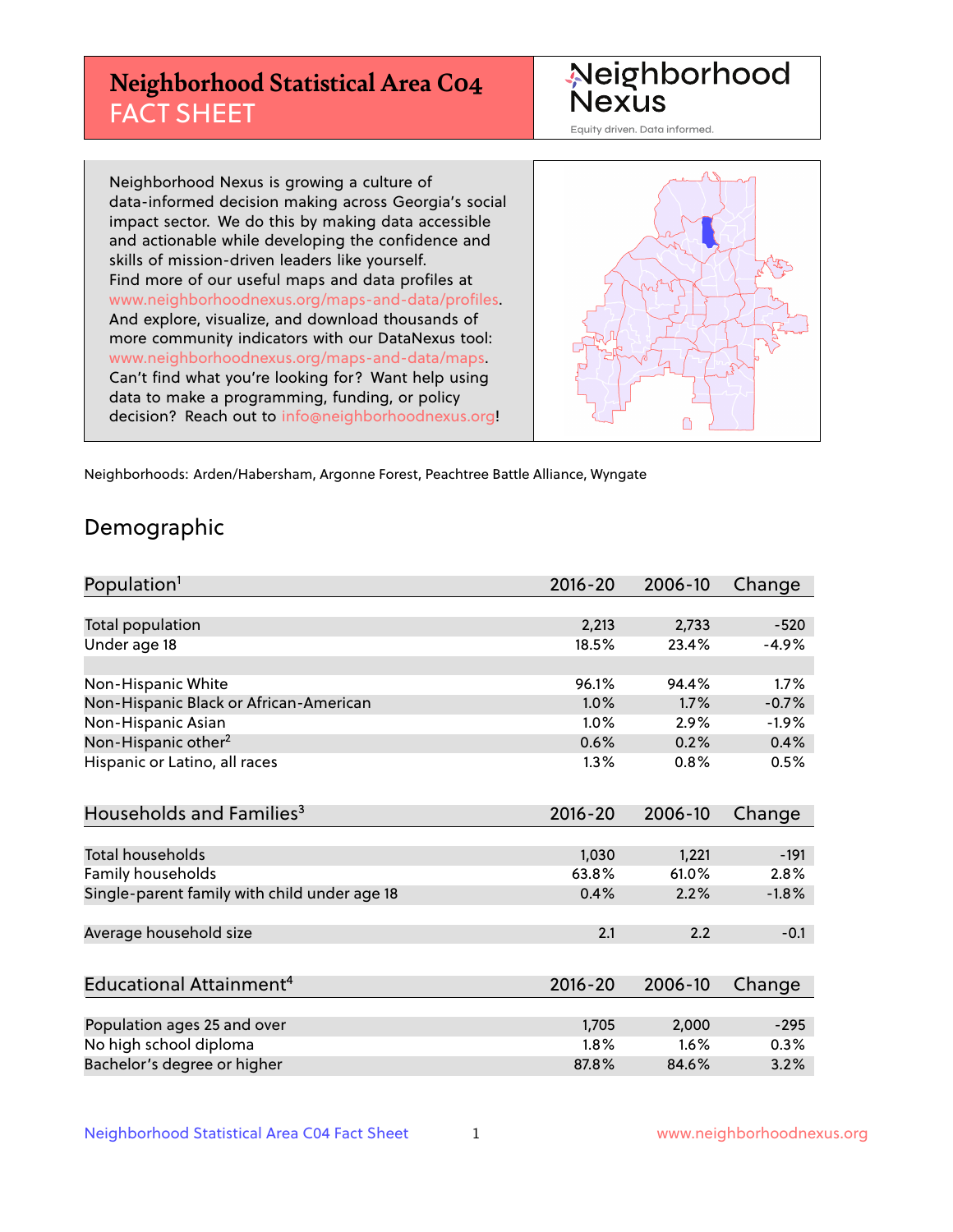# **Neighborhood Statistical Area C04** FACT SHEET



Equity driven. Data informed.

Neighborhood Nexus is growing a culture of data-informed decision making across Georgia's social impact sector. We do this by making data accessible and actionable while developing the confidence and skills of mission-driven leaders like yourself. Find more of our useful maps and data profiles at www.neighborhoodnexus.org/maps-and-data/profiles. And explore, visualize, and download thousands of more community indicators with our DataNexus tool: www.neighborhoodnexus.org/maps-and-data/maps. Can't find what you're looking for? Want help using data to make a programming, funding, or policy decision? Reach out to [info@neighborhoodnexus.org!](mailto:info@neighborhoodnexus.org)



Neighborhoods: Arden/Habersham, Argonne Forest, Peachtree Battle Alliance, Wyngate

### Demographic

| Population <sup>1</sup>                      | $2016 - 20$ | 2006-10 | Change  |
|----------------------------------------------|-------------|---------|---------|
|                                              |             |         |         |
| <b>Total population</b>                      | 2,213       | 2,733   | $-520$  |
| Under age 18                                 | 18.5%       | 23.4%   | $-4.9%$ |
|                                              |             |         |         |
| Non-Hispanic White                           | 96.1%       | 94.4%   | 1.7%    |
| Non-Hispanic Black or African-American       | 1.0%        | 1.7%    | $-0.7%$ |
| Non-Hispanic Asian                           | 1.0%        | 2.9%    | $-1.9%$ |
| Non-Hispanic other <sup>2</sup>              | 0.6%        | 0.2%    | 0.4%    |
| Hispanic or Latino, all races                | 1.3%        | 0.8%    | 0.5%    |
|                                              |             |         |         |
| Households and Families <sup>3</sup>         | $2016 - 20$ | 2006-10 | Change  |
|                                              |             |         |         |
| Total households                             | 1,030       | 1,221   | $-191$  |
| Family households                            | 63.8%       | 61.0%   | 2.8%    |
| Single-parent family with child under age 18 | 0.4%        | 2.2%    | $-1.8%$ |
| Average household size                       | 2.1         | 2.2     | $-0.1$  |
|                                              |             |         |         |
| Educational Attainment <sup>4</sup>          | $2016 - 20$ | 2006-10 | Change  |
|                                              |             |         |         |
| Population ages 25 and over                  | 1,705       | 2,000   | $-295$  |
| No high school diploma                       | 1.8%        | 1.6%    | 0.3%    |
| Bachelor's degree or higher                  | 87.8%       | 84.6%   | 3.2%    |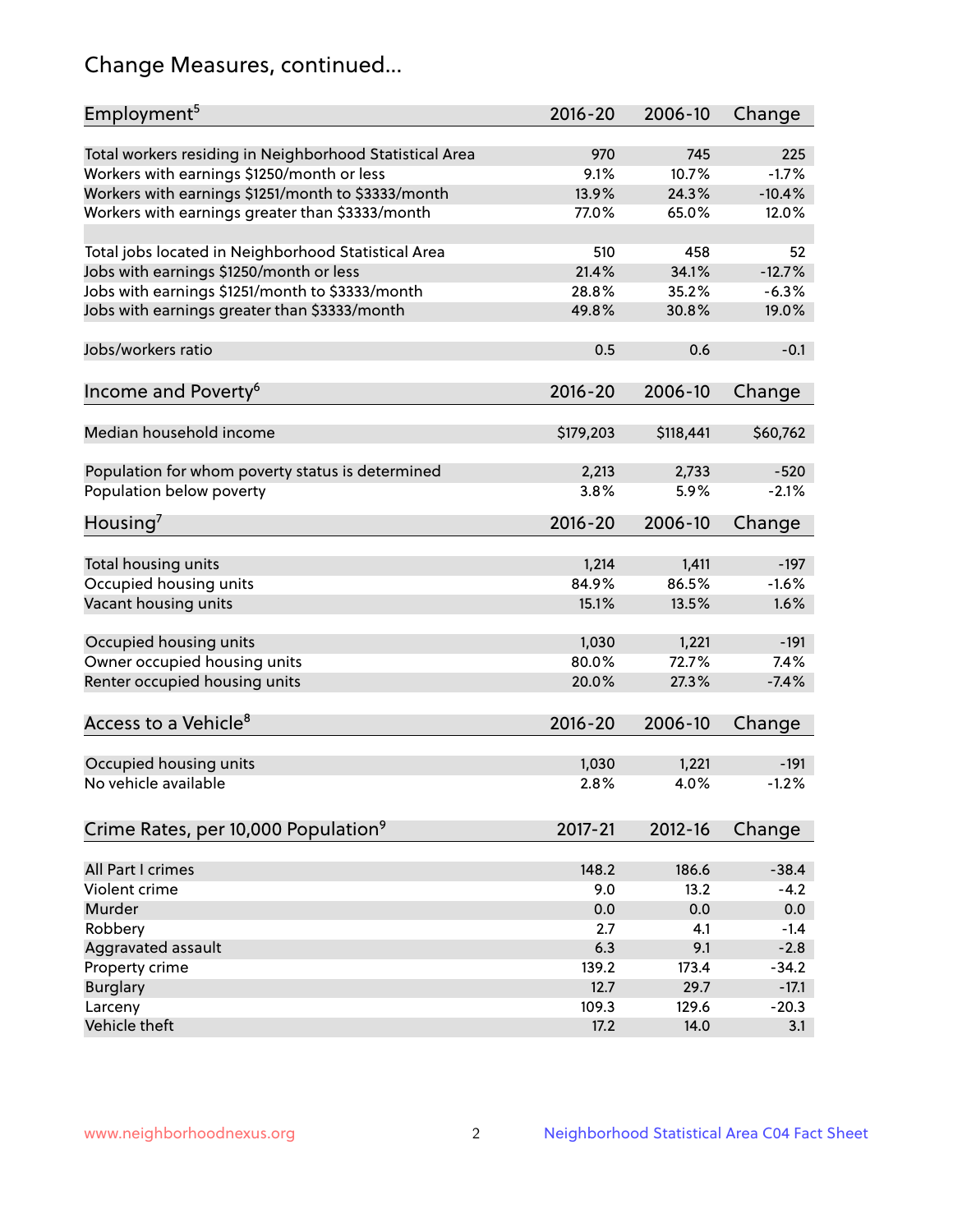# Change Measures, continued...

| Employment <sup>5</sup>                                 | 2016-20     | 2006-10   | Change   |
|---------------------------------------------------------|-------------|-----------|----------|
| Total workers residing in Neighborhood Statistical Area | 970         | 745       | 225      |
| Workers with earnings \$1250/month or less              | 9.1%        | 10.7%     | $-1.7%$  |
| Workers with earnings \$1251/month to \$3333/month      | 13.9%       | 24.3%     | $-10.4%$ |
| Workers with earnings greater than \$3333/month         | 77.0%       | 65.0%     | 12.0%    |
|                                                         |             |           |          |
| Total jobs located in Neighborhood Statistical Area     | 510         | 458       | 52       |
| Jobs with earnings \$1250/month or less                 | 21.4%       | 34.1%     | $-12.7%$ |
| Jobs with earnings \$1251/month to \$3333/month         | 28.8%       | 35.2%     | $-6.3%$  |
| Jobs with earnings greater than \$3333/month            | 49.8%       | 30.8%     | 19.0%    |
|                                                         |             |           |          |
| Jobs/workers ratio                                      | 0.5         | 0.6       | $-0.1$   |
|                                                         |             |           |          |
| Income and Poverty <sup>6</sup>                         | 2016-20     | 2006-10   | Change   |
|                                                         |             |           |          |
| Median household income                                 | \$179,203   | \$118,441 | \$60,762 |
|                                                         |             |           |          |
| Population for whom poverty status is determined        | 2,213       | 2,733     | $-520$   |
| Population below poverty                                | 3.8%        | 5.9%      | $-2.1%$  |
|                                                         |             |           |          |
| Housing <sup>7</sup>                                    | 2016-20     | 2006-10   | Change   |
|                                                         |             |           |          |
| Total housing units                                     | 1,214       | 1,411     | $-197$   |
| Occupied housing units                                  | 84.9%       | 86.5%     | $-1.6%$  |
| Vacant housing units                                    | 15.1%       | 13.5%     | 1.6%     |
|                                                         |             |           |          |
| Occupied housing units                                  | 1,030       | 1,221     | $-191$   |
| Owner occupied housing units                            | 80.0%       | 72.7%     | 7.4%     |
| Renter occupied housing units                           | 20.0%       | 27.3%     | $-7.4%$  |
|                                                         |             |           |          |
| Access to a Vehicle <sup>8</sup>                        | $2016 - 20$ | 2006-10   | Change   |
|                                                         |             |           |          |
| Occupied housing units                                  | 1,030       | 1,221     | $-191$   |
| No vehicle available                                    | 2.8%        | 4.0%      | $-1.2%$  |
|                                                         |             |           |          |
| Crime Rates, per 10,000 Population <sup>9</sup>         | $2017 - 21$ | 2012-16   | Change   |
|                                                         |             |           |          |
| All Part I crimes                                       | 148.2       | 186.6     | $-38.4$  |
| Violent crime                                           | 9.0         | 13.2      | $-4.2$   |
| Murder                                                  | 0.0         | 0.0       | 0.0      |
| Robbery                                                 | 2.7         | 4.1       | $-1.4$   |
| Aggravated assault                                      | 6.3         | 9.1       | $-2.8$   |
| Property crime                                          | 139.2       | 173.4     | $-34.2$  |
| <b>Burglary</b>                                         | 12.7        | 29.7      | $-17.1$  |
| Larceny                                                 | 109.3       | 129.6     | $-20.3$  |
| Vehicle theft                                           | 17.2        | 14.0      | 3.1      |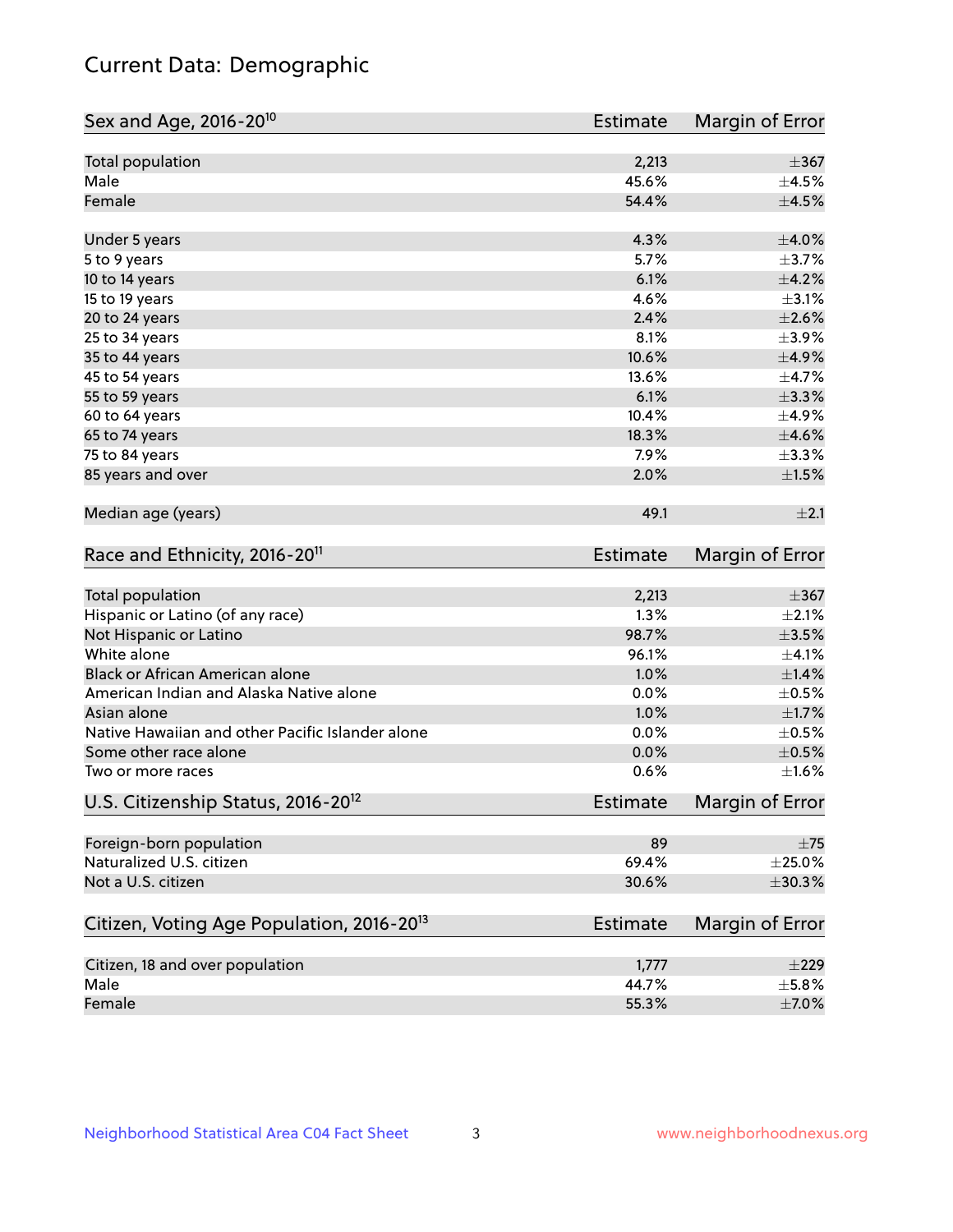# Current Data: Demographic

| Sex and Age, 2016-20 <sup>10</sup>                    | <b>Estimate</b> | Margin of Error |
|-------------------------------------------------------|-----------------|-----------------|
| Total population                                      | 2,213           | $\pm$ 367       |
| Male                                                  | 45.6%           | $\pm$ 4.5%      |
| Female                                                | 54.4%           | $\pm 4.5\%$     |
| Under 5 years                                         | 4.3%            | $\pm 4.0\%$     |
| 5 to 9 years                                          | 5.7%            | $\pm$ 3.7%      |
| 10 to 14 years                                        | 6.1%            | $\pm$ 4.2%      |
| 15 to 19 years                                        | 4.6%            | $\pm$ 3.1%      |
| 20 to 24 years                                        | 2.4%            | $\pm 2.6\%$     |
| 25 to 34 years                                        | 8.1%            | $\pm$ 3.9%      |
| 35 to 44 years                                        | 10.6%           | $\pm$ 4.9%      |
| 45 to 54 years                                        | 13.6%           | $\pm$ 4.7%      |
| 55 to 59 years                                        | 6.1%            | $\pm$ 3.3%      |
| 60 to 64 years                                        | 10.4%           | $\pm$ 4.9%      |
| 65 to 74 years                                        | 18.3%           | $\pm 4.6\%$     |
| 75 to 84 years                                        | 7.9%            | $\pm$ 3.3%      |
| 85 years and over                                     | 2.0%            | $\pm 1.5\%$     |
| Median age (years)                                    | 49.1            | $\pm 2.1$       |
| Race and Ethnicity, 2016-20 <sup>11</sup>             | <b>Estimate</b> | Margin of Error |
| Total population                                      | 2,213           | $\pm$ 367       |
| Hispanic or Latino (of any race)                      | 1.3%            | $\pm 2.1\%$     |
| Not Hispanic or Latino                                | 98.7%           | $\pm 3.5\%$     |
| White alone                                           | 96.1%           | $\pm 4.1\%$     |
| Black or African American alone                       | 1.0%            | ±1.4%           |
| American Indian and Alaska Native alone               | 0.0%            | $\pm$ 0.5%      |
| Asian alone                                           | 1.0%            | $\pm1.7\%$      |
| Native Hawaiian and other Pacific Islander alone      | 0.0%            | $\pm$ 0.5%      |
| Some other race alone                                 | 0.0%            | $\pm$ 0.5%      |
| Two or more races                                     | 0.6%            | $\pm 1.6\%$     |
| U.S. Citizenship Status, 2016-20 <sup>12</sup>        | <b>Estimate</b> | Margin of Error |
| Foreign-born population                               | 89              | $\pm 75$        |
| Naturalized U.S. citizen                              | 69.4%           | $\pm 25.0\%$    |
| Not a U.S. citizen                                    | 30.6%           | ±30.3%          |
| Citizen, Voting Age Population, 2016-20 <sup>13</sup> | Estimate        | Margin of Error |
| Citizen, 18 and over population                       | 1,777           | ±229            |
| Male                                                  | 44.7%           | $\pm$ 5.8%      |
| Female                                                | 55.3%           | $\pm$ 7.0%      |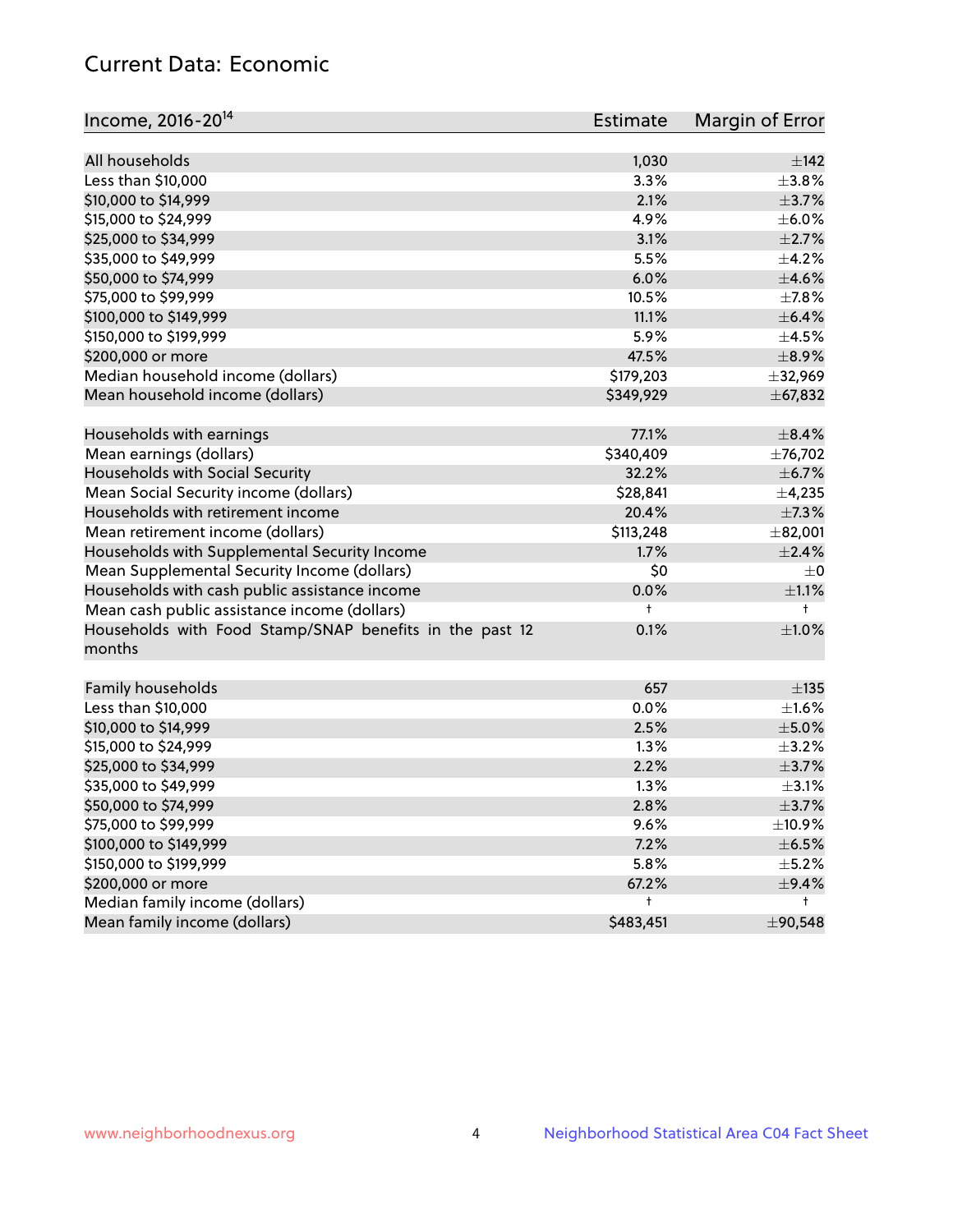# Current Data: Economic

| Income, 2016-20 <sup>14</sup>                           | Estimate  | Margin of Error |
|---------------------------------------------------------|-----------|-----------------|
|                                                         |           |                 |
| All households                                          | 1,030     | $\pm$ 142       |
| Less than \$10,000                                      | 3.3%      | $\pm$ 3.8%      |
| \$10,000 to \$14,999                                    | 2.1%      | $\pm$ 3.7%      |
| \$15,000 to \$24,999                                    | 4.9%      | $\pm$ 6.0%      |
| \$25,000 to \$34,999                                    | 3.1%      | $\pm 2.7\%$     |
| \$35,000 to \$49,999                                    | 5.5%      | $\pm$ 4.2%      |
| \$50,000 to \$74,999                                    | 6.0%      | $\pm$ 4.6%      |
| \$75,000 to \$99,999                                    | 10.5%     | $\pm$ 7.8%      |
| \$100,000 to \$149,999                                  | 11.1%     | $\pm$ 6.4%      |
| \$150,000 to \$199,999                                  | 5.9%      | $\pm$ 4.5%      |
| \$200,000 or more                                       | 47.5%     | $\pm$ 8.9%      |
| Median household income (dollars)                       | \$179,203 | ±32,969         |
| Mean household income (dollars)                         | \$349,929 | ± 67,832        |
| Households with earnings                                | 77.1%     | $\pm$ 8.4%      |
| Mean earnings (dollars)                                 | \$340,409 | ±76,702         |
| Households with Social Security                         | 32.2%     | $\pm$ 6.7%      |
| Mean Social Security income (dollars)                   | \$28,841  | ±4,235          |
| Households with retirement income                       | 20.4%     | $\pm$ 7.3%      |
| Mean retirement income (dollars)                        | \$113,248 | ±82,001         |
| Households with Supplemental Security Income            | 1.7%      | ±2.4%           |
| Mean Supplemental Security Income (dollars)             | \$0       | $\pm$ 0         |
| Households with cash public assistance income           | 0.0%      | $\pm 1.1\%$     |
| Mean cash public assistance income (dollars)            | t         | $^+$            |
| Households with Food Stamp/SNAP benefits in the past 12 | 0.1%      | $\pm1.0\%$      |
| months                                                  |           |                 |
| Family households                                       | 657       | $\pm$ 135       |
| Less than \$10,000                                      | 0.0%      | $\pm 1.6\%$     |
| \$10,000 to \$14,999                                    | 2.5%      | $\pm$ 5.0%      |
| \$15,000 to \$24,999                                    | 1.3%      | $\pm$ 3.2%      |
|                                                         |           | $\pm$ 3.7%      |
| \$25,000 to \$34,999                                    | 2.2%      |                 |
| \$35,000 to \$49,999                                    | 1.3%      | $\pm$ 3.1%      |
| \$50,000 to \$74,999                                    | 2.8%      | $\pm$ 3.7%      |
| \$75,000 to \$99,999                                    | 9.6%      | ±10.9%          |
| \$100,000 to \$149,999                                  | 7.2%      | $\pm$ 6.5%      |
| \$150,000 to \$199,999                                  | 5.8%      | $\pm$ 5.2%      |
| \$200,000 or more                                       | 67.2%     | $\pm$ 9.4%      |
| Median family income (dollars)                          | t         | t.              |
| Mean family income (dollars)                            | \$483,451 | ±90,548         |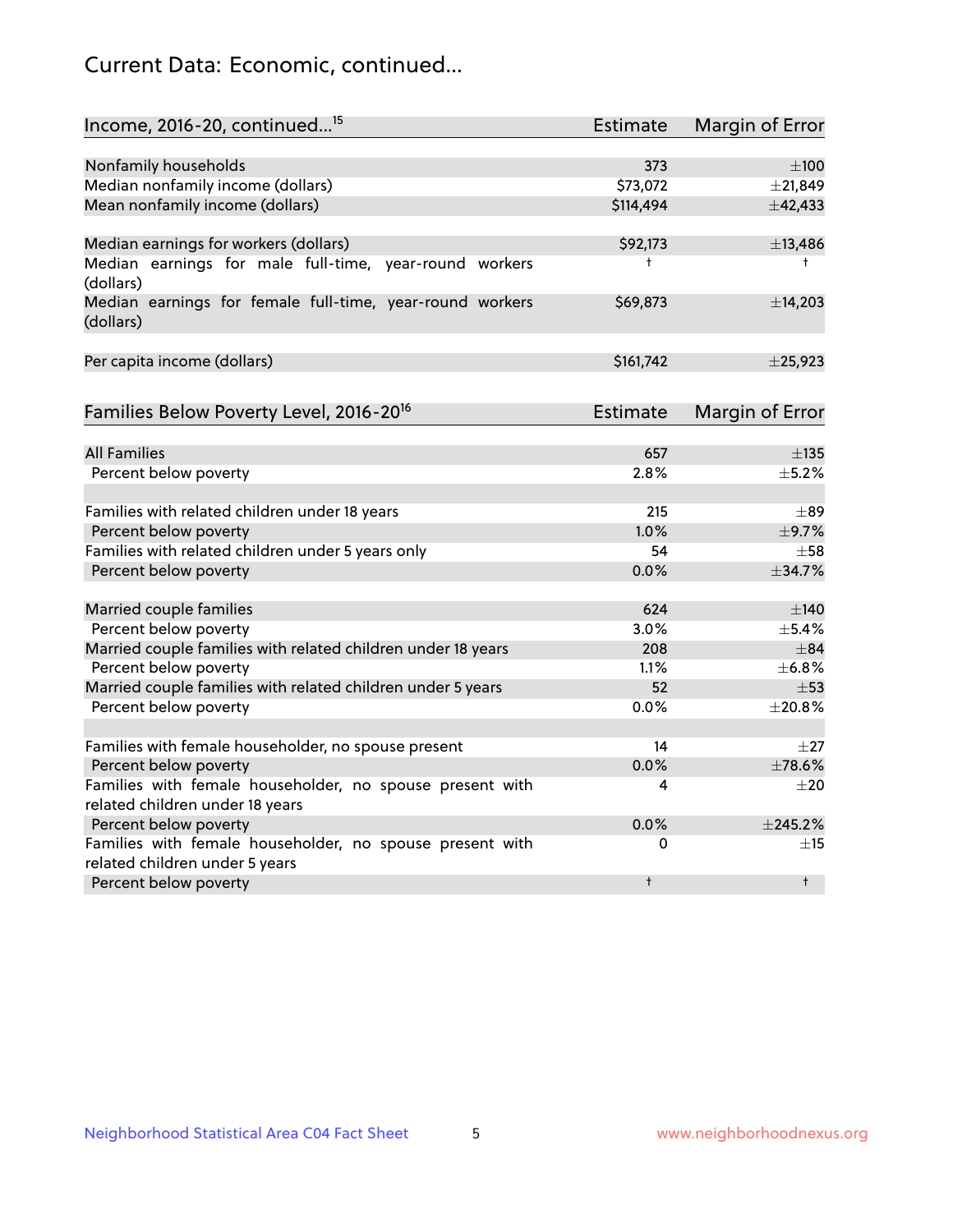# Current Data: Economic, continued...

| Income, 2016-20, continued <sup>15</sup>                              | <b>Estimate</b> | <b>Margin of Error</b> |
|-----------------------------------------------------------------------|-----------------|------------------------|
|                                                                       |                 |                        |
| Nonfamily households                                                  | 373             | $\pm 100$              |
| Median nonfamily income (dollars)                                     | \$73,072        | $±$ 21,849             |
| Mean nonfamily income (dollars)                                       | \$114,494       | ±42,433                |
| Median earnings for workers (dollars)                                 | \$92,173        | ±13,486                |
| Median earnings for male full-time, year-round workers<br>(dollars)   | t               | $^+$                   |
| Median earnings for female full-time, year-round workers<br>(dollars) | \$69,873        | ±14,203                |
| Per capita income (dollars)                                           | \$161,742       | ±25,923                |
| Families Below Poverty Level, 2016-20 <sup>16</sup>                   | <b>Estimate</b> | <b>Margin of Error</b> |
|                                                                       |                 |                        |
| <b>All Families</b>                                                   | 657             | $\pm$ 135              |
| Percent below poverty                                                 | 2.8%            | $\pm$ 5.2%             |
| Families with related children under 18 years                         | 215             | $\pm$ 89               |
| Percent below poverty                                                 | 1.0%            | ±9.7%                  |
| Families with related children under 5 years only                     | 54              | $\pm$ 58               |
| Percent below poverty                                                 | 0.0%            | ±34.7%                 |
| Married couple families                                               | 624             | $\pm$ 140              |
| Percent below poverty                                                 | 3.0%            | $\pm$ 5.4%             |
| Married couple families with related children under 18 years          | 208             | $\pm$ 84               |
| Percent below poverty                                                 | 1.1%            | ±6.8%                  |
| Married couple families with related children under 5 years           | 52              | $\pm$ 53               |
| Percent below poverty                                                 | 0.0%            | ±20.8%                 |
| Families with female householder, no spouse present                   | 14              | $\pm 27$               |
| Percent below poverty                                                 | 0.0%            | ±78.6%                 |
| Families with female householder, no spouse present with              | 4               | $+20$                  |
| related children under 18 years                                       |                 |                        |
| Percent below poverty                                                 | 0.0%            | ±245.2%                |
| Families with female householder, no spouse present with              | 0               | $\pm$ 15               |
| related children under 5 years                                        |                 |                        |
| Percent below poverty                                                 | t               | $^{\dagger}$           |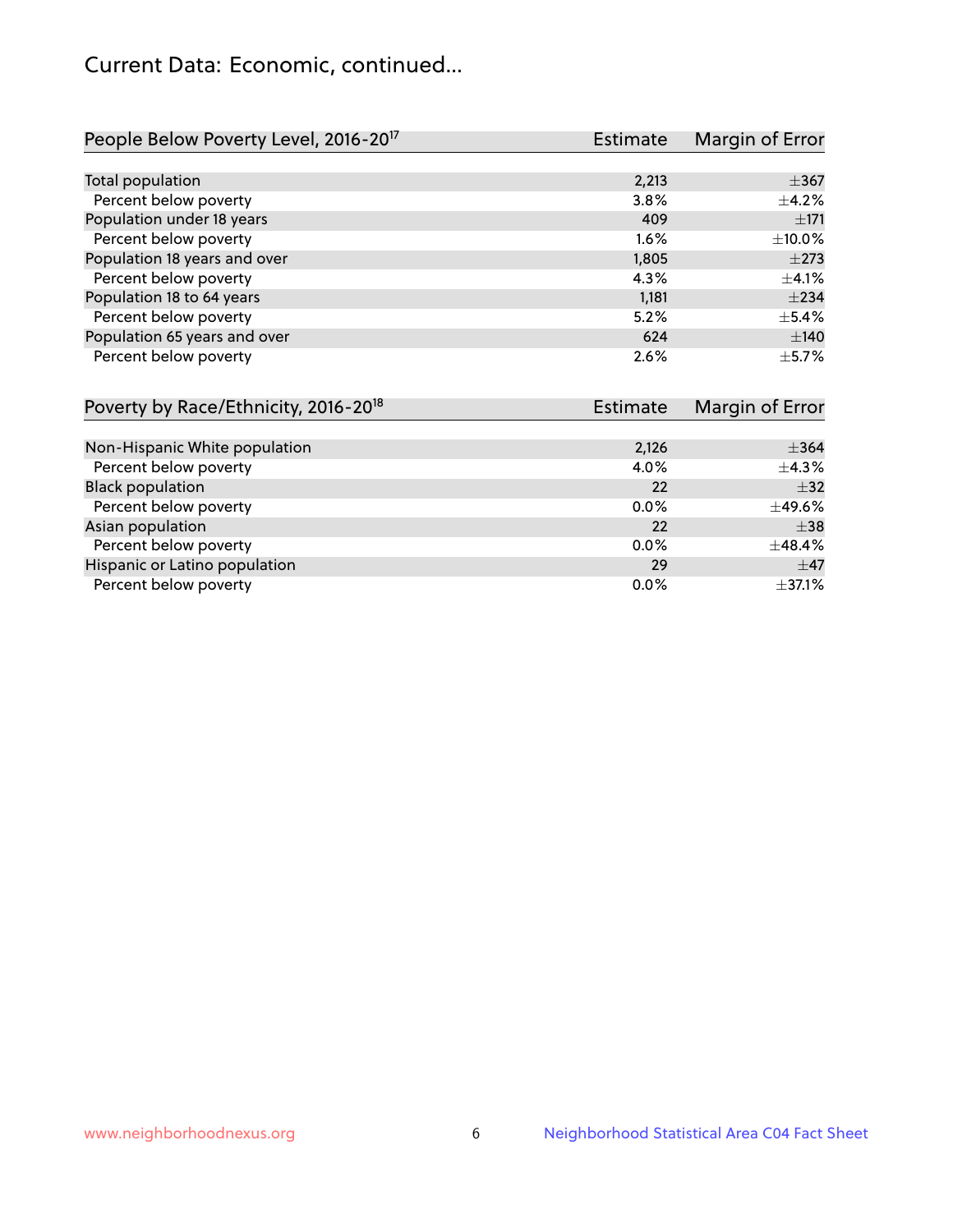# Current Data: Economic, continued...

| People Below Poverty Level, 2016-20 <sup>17</sup> | <b>Estimate</b> | Margin of Error |
|---------------------------------------------------|-----------------|-----------------|
|                                                   |                 |                 |
| Total population                                  | 2,213           | $\pm$ 367       |
| Percent below poverty                             | 3.8%            | $+4.2%$         |
| Population under 18 years                         | 409             | $\pm 171$       |
| Percent below poverty                             | $1.6\%$         | ±10.0%          |
| Population 18 years and over                      | 1,805           | $\pm 273$       |
| Percent below poverty                             | 4.3%            | $\pm$ 4.1%      |
| Population 18 to 64 years                         | 1,181           | ±234            |
| Percent below poverty                             | 5.2%            | $\pm$ 5.4%      |
| Population 65 years and over                      | 624             | $\pm 140$       |
| Percent below poverty                             | 2.6%            | $+5.7%$         |

| Poverty by Race/Ethnicity, 2016-20 <sup>18</sup><br><b>Estimate</b> |         | Margin of Error |  |
|---------------------------------------------------------------------|---------|-----------------|--|
|                                                                     |         |                 |  |
| Non-Hispanic White population                                       | 2,126   | $\pm$ 364       |  |
| Percent below poverty                                               | 4.0%    | $\pm$ 4.3%      |  |
| <b>Black population</b>                                             | 22      | $\pm$ 32        |  |
| Percent below poverty                                               | $0.0\%$ | $\pm$ 49.6%     |  |
| Asian population                                                    | 22      | $\pm$ 38        |  |
| Percent below poverty                                               | $0.0\%$ | $\pm$ 48.4%     |  |
| Hispanic or Latino population                                       | 29      | $\pm$ 47        |  |
| Percent below poverty                                               | $0.0\%$ | $\pm$ 37.1%     |  |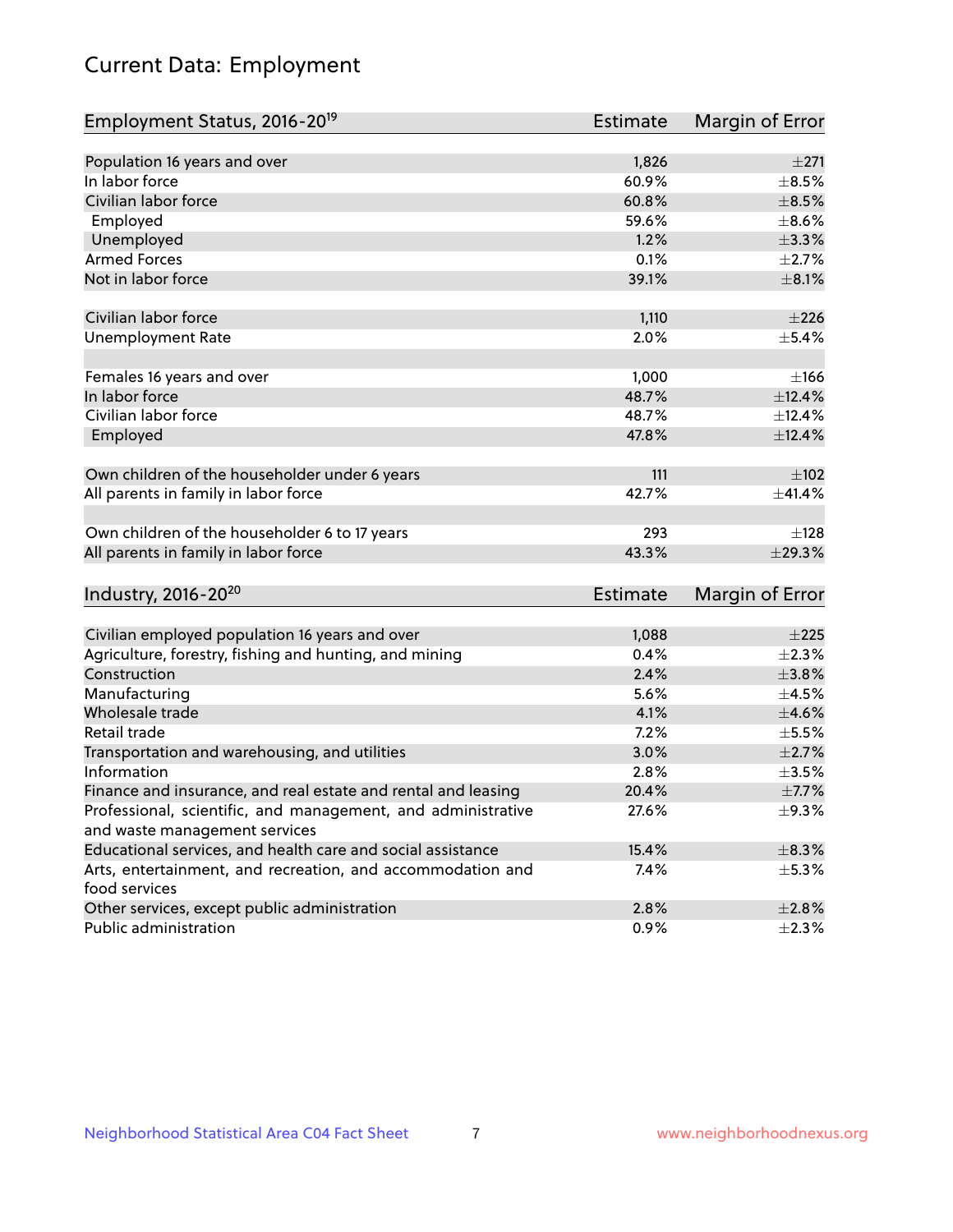# Current Data: Employment

| Employment Status, 2016-20 <sup>19</sup>                                    | <b>Estimate</b> | Margin of Error |
|-----------------------------------------------------------------------------|-----------------|-----------------|
|                                                                             |                 |                 |
| Population 16 years and over                                                | 1,826           | ±271            |
| In labor force                                                              | 60.9%           | $\pm$ 8.5%      |
| Civilian labor force                                                        | 60.8%           | $\pm$ 8.5%      |
| Employed                                                                    | 59.6%           | $\pm$ 8.6%      |
| Unemployed                                                                  | 1.2%            | $\pm$ 3.3%      |
| <b>Armed Forces</b>                                                         | 0.1%            | $\pm 2.7\%$     |
| Not in labor force                                                          | 39.1%           | $\pm$ 8.1%      |
| Civilian labor force                                                        | 1,110           | ±226            |
| <b>Unemployment Rate</b>                                                    | 2.0%            | $\pm$ 5.4%      |
| Females 16 years and over                                                   | 1,000           | $\pm$ 166       |
| In labor force                                                              | 48.7%           | ±12.4%          |
| Civilian labor force                                                        | 48.7%           | ±12.4%          |
| Employed                                                                    | 47.8%           | ±12.4%          |
| Own children of the householder under 6 years                               | 111             | $\pm 102$       |
| All parents in family in labor force                                        | 42.7%           | $\pm$ 41.4%     |
|                                                                             |                 |                 |
| Own children of the householder 6 to 17 years                               | 293             | ±128            |
| All parents in family in labor force                                        | 43.3%           | ±29.3%          |
| Industry, 2016-20 <sup>20</sup>                                             | <b>Estimate</b> | Margin of Error |
|                                                                             |                 |                 |
| Civilian employed population 16 years and over                              | 1,088           | $\pm 225$       |
| Agriculture, forestry, fishing and hunting, and mining                      | 0.4%            | $\pm 2.3\%$     |
| Construction                                                                | 2.4%            | $\pm 3.8\%$     |
| Manufacturing                                                               | 5.6%            | $\pm 4.5\%$     |
| Wholesale trade                                                             | 4.1%            | $\pm 4.6\%$     |
| Retail trade                                                                | 7.2%            | $\pm$ 5.5%      |
| Transportation and warehousing, and utilities                               | 3.0%            | $\pm 2.7\%$     |
| Information                                                                 | 2.8%            | $\pm$ 3.5%      |
| Finance and insurance, and real estate and rental and leasing               | 20.4%           | $\pm$ 7.7%      |
| Professional, scientific, and management, and administrative                | 27.6%           | $\pm$ 9.3%      |
| and waste management services                                               |                 |                 |
| Educational services, and health care and social assistance                 | 15.4%           | $\pm$ 8.3%      |
| Arts, entertainment, and recreation, and accommodation and<br>food services | 7.4%            | $\pm$ 5.3%      |
| Other services, except public administration                                | 2.8%            | $\pm 2.8\%$     |
| Public administration                                                       | 0.9%            | $\pm 2.3\%$     |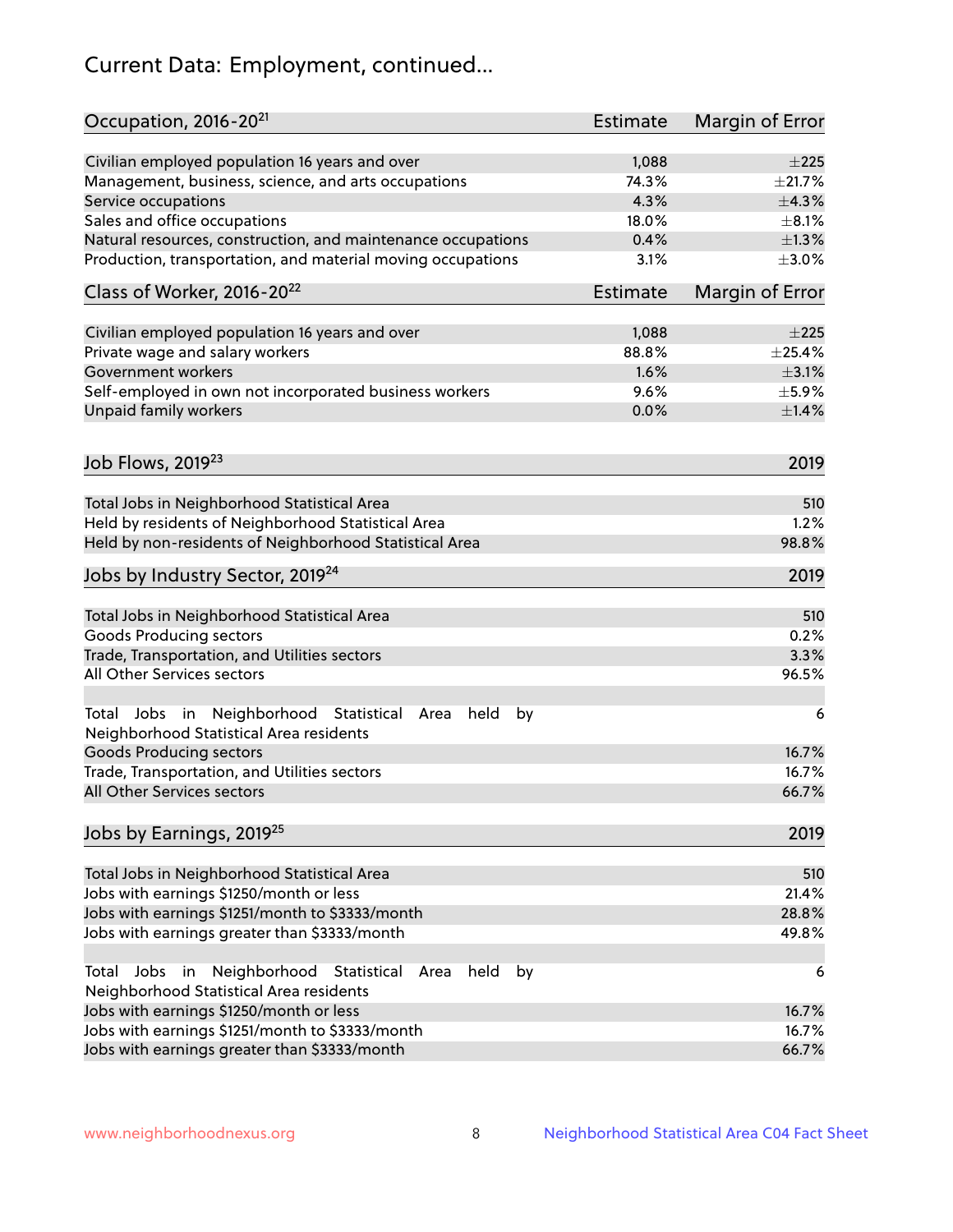# Current Data: Employment, continued...

| Civilian employed population 16 years and over<br>1,088<br>$\pm 225$<br>74.3%<br>$\pm 21.7\%$<br>Management, business, science, and arts occupations<br>4.3%<br>Service occupations<br>±4.3%<br>Sales and office occupations<br>18.0%<br>$\pm 8.1\%$<br>0.4%<br>$\pm 1.3\%$<br>Natural resources, construction, and maintenance occupations<br>Production, transportation, and material moving occupations<br>3.1%<br>$\pm 3.0\%$<br>Class of Worker, 2016-20 <sup>22</sup><br><b>Estimate</b><br>Margin of Error<br>Civilian employed population 16 years and over<br>1,088<br>$\pm 225$<br>$\pm$ 25.4%<br>Private wage and salary workers<br>88.8%<br>Government workers<br>1.6%<br>$\pm$ 3.1%<br>Self-employed in own not incorporated business workers<br>9.6%<br>$\pm$ 5.9%<br>Unpaid family workers<br>0.0%<br>$\pm$ 1.4%<br>Job Flows, 2019 <sup>23</sup><br>2019<br>Total Jobs in Neighborhood Statistical Area<br>510<br>Held by residents of Neighborhood Statistical Area<br>1.2%<br>Held by non-residents of Neighborhood Statistical Area<br>98.8%<br>Jobs by Industry Sector, 2019 <sup>24</sup><br>2019<br>Total Jobs in Neighborhood Statistical Area<br>510<br><b>Goods Producing sectors</b><br>0.2%<br>Trade, Transportation, and Utilities sectors<br>3.3%<br>All Other Services sectors<br>96.5%<br>Total Jobs in Neighborhood Statistical<br>held<br>by<br>Area<br>6<br>Neighborhood Statistical Area residents<br><b>Goods Producing sectors</b><br>16.7%<br>Trade, Transportation, and Utilities sectors<br>16.7%<br>All Other Services sectors<br>66.7%<br>2019<br>Total Jobs in Neighborhood Statistical Area<br>510<br>21.4%<br>Jobs with earnings \$1250/month or less<br>Jobs with earnings \$1251/month to \$3333/month<br>28.8%<br>Jobs with earnings greater than \$3333/month<br>49.8%<br>Neighborhood Statistical<br>Jobs<br>in<br>held<br>by<br>Total<br>Area<br>6<br>Neighborhood Statistical Area residents<br>Jobs with earnings \$1250/month or less<br>16.7%<br>Jobs with earnings \$1251/month to \$3333/month<br>16.7%<br>Jobs with earnings greater than \$3333/month<br>66.7% | Occupation, 2016-20 <sup>21</sup>    | <b>Estimate</b> | Margin of Error |
|---------------------------------------------------------------------------------------------------------------------------------------------------------------------------------------------------------------------------------------------------------------------------------------------------------------------------------------------------------------------------------------------------------------------------------------------------------------------------------------------------------------------------------------------------------------------------------------------------------------------------------------------------------------------------------------------------------------------------------------------------------------------------------------------------------------------------------------------------------------------------------------------------------------------------------------------------------------------------------------------------------------------------------------------------------------------------------------------------------------------------------------------------------------------------------------------------------------------------------------------------------------------------------------------------------------------------------------------------------------------------------------------------------------------------------------------------------------------------------------------------------------------------------------------------------------------------------------------------------------------------------------------------------------------------------------------------------------------------------------------------------------------------------------------------------------------------------------------------------------------------------------------------------------------------------------------------------------------------------------------------------------------------------------------------------------------------------------------------------------------------|--------------------------------------|-----------------|-----------------|
|                                                                                                                                                                                                                                                                                                                                                                                                                                                                                                                                                                                                                                                                                                                                                                                                                                                                                                                                                                                                                                                                                                                                                                                                                                                                                                                                                                                                                                                                                                                                                                                                                                                                                                                                                                                                                                                                                                                                                                                                                                                                                                                           |                                      |                 |                 |
|                                                                                                                                                                                                                                                                                                                                                                                                                                                                                                                                                                                                                                                                                                                                                                                                                                                                                                                                                                                                                                                                                                                                                                                                                                                                                                                                                                                                                                                                                                                                                                                                                                                                                                                                                                                                                                                                                                                                                                                                                                                                                                                           |                                      |                 |                 |
|                                                                                                                                                                                                                                                                                                                                                                                                                                                                                                                                                                                                                                                                                                                                                                                                                                                                                                                                                                                                                                                                                                                                                                                                                                                                                                                                                                                                                                                                                                                                                                                                                                                                                                                                                                                                                                                                                                                                                                                                                                                                                                                           |                                      |                 |                 |
|                                                                                                                                                                                                                                                                                                                                                                                                                                                                                                                                                                                                                                                                                                                                                                                                                                                                                                                                                                                                                                                                                                                                                                                                                                                                                                                                                                                                                                                                                                                                                                                                                                                                                                                                                                                                                                                                                                                                                                                                                                                                                                                           |                                      |                 |                 |
|                                                                                                                                                                                                                                                                                                                                                                                                                                                                                                                                                                                                                                                                                                                                                                                                                                                                                                                                                                                                                                                                                                                                                                                                                                                                                                                                                                                                                                                                                                                                                                                                                                                                                                                                                                                                                                                                                                                                                                                                                                                                                                                           |                                      |                 |                 |
|                                                                                                                                                                                                                                                                                                                                                                                                                                                                                                                                                                                                                                                                                                                                                                                                                                                                                                                                                                                                                                                                                                                                                                                                                                                                                                                                                                                                                                                                                                                                                                                                                                                                                                                                                                                                                                                                                                                                                                                                                                                                                                                           |                                      |                 |                 |
|                                                                                                                                                                                                                                                                                                                                                                                                                                                                                                                                                                                                                                                                                                                                                                                                                                                                                                                                                                                                                                                                                                                                                                                                                                                                                                                                                                                                                                                                                                                                                                                                                                                                                                                                                                                                                                                                                                                                                                                                                                                                                                                           |                                      |                 |                 |
|                                                                                                                                                                                                                                                                                                                                                                                                                                                                                                                                                                                                                                                                                                                                                                                                                                                                                                                                                                                                                                                                                                                                                                                                                                                                                                                                                                                                                                                                                                                                                                                                                                                                                                                                                                                                                                                                                                                                                                                                                                                                                                                           |                                      |                 |                 |
|                                                                                                                                                                                                                                                                                                                                                                                                                                                                                                                                                                                                                                                                                                                                                                                                                                                                                                                                                                                                                                                                                                                                                                                                                                                                                                                                                                                                                                                                                                                                                                                                                                                                                                                                                                                                                                                                                                                                                                                                                                                                                                                           |                                      |                 |                 |
|                                                                                                                                                                                                                                                                                                                                                                                                                                                                                                                                                                                                                                                                                                                                                                                                                                                                                                                                                                                                                                                                                                                                                                                                                                                                                                                                                                                                                                                                                                                                                                                                                                                                                                                                                                                                                                                                                                                                                                                                                                                                                                                           |                                      |                 |                 |
|                                                                                                                                                                                                                                                                                                                                                                                                                                                                                                                                                                                                                                                                                                                                                                                                                                                                                                                                                                                                                                                                                                                                                                                                                                                                                                                                                                                                                                                                                                                                                                                                                                                                                                                                                                                                                                                                                                                                                                                                                                                                                                                           |                                      |                 |                 |
|                                                                                                                                                                                                                                                                                                                                                                                                                                                                                                                                                                                                                                                                                                                                                                                                                                                                                                                                                                                                                                                                                                                                                                                                                                                                                                                                                                                                                                                                                                                                                                                                                                                                                                                                                                                                                                                                                                                                                                                                                                                                                                                           |                                      |                 |                 |
|                                                                                                                                                                                                                                                                                                                                                                                                                                                                                                                                                                                                                                                                                                                                                                                                                                                                                                                                                                                                                                                                                                                                                                                                                                                                                                                                                                                                                                                                                                                                                                                                                                                                                                                                                                                                                                                                                                                                                                                                                                                                                                                           |                                      |                 |                 |
|                                                                                                                                                                                                                                                                                                                                                                                                                                                                                                                                                                                                                                                                                                                                                                                                                                                                                                                                                                                                                                                                                                                                                                                                                                                                                                                                                                                                                                                                                                                                                                                                                                                                                                                                                                                                                                                                                                                                                                                                                                                                                                                           |                                      |                 |                 |
|                                                                                                                                                                                                                                                                                                                                                                                                                                                                                                                                                                                                                                                                                                                                                                                                                                                                                                                                                                                                                                                                                                                                                                                                                                                                                                                                                                                                                                                                                                                                                                                                                                                                                                                                                                                                                                                                                                                                                                                                                                                                                                                           |                                      |                 |                 |
|                                                                                                                                                                                                                                                                                                                                                                                                                                                                                                                                                                                                                                                                                                                                                                                                                                                                                                                                                                                                                                                                                                                                                                                                                                                                                                                                                                                                                                                                                                                                                                                                                                                                                                                                                                                                                                                                                                                                                                                                                                                                                                                           |                                      |                 |                 |
|                                                                                                                                                                                                                                                                                                                                                                                                                                                                                                                                                                                                                                                                                                                                                                                                                                                                                                                                                                                                                                                                                                                                                                                                                                                                                                                                                                                                                                                                                                                                                                                                                                                                                                                                                                                                                                                                                                                                                                                                                                                                                                                           |                                      |                 |                 |
|                                                                                                                                                                                                                                                                                                                                                                                                                                                                                                                                                                                                                                                                                                                                                                                                                                                                                                                                                                                                                                                                                                                                                                                                                                                                                                                                                                                                                                                                                                                                                                                                                                                                                                                                                                                                                                                                                                                                                                                                                                                                                                                           |                                      |                 |                 |
|                                                                                                                                                                                                                                                                                                                                                                                                                                                                                                                                                                                                                                                                                                                                                                                                                                                                                                                                                                                                                                                                                                                                                                                                                                                                                                                                                                                                                                                                                                                                                                                                                                                                                                                                                                                                                                                                                                                                                                                                                                                                                                                           |                                      |                 |                 |
|                                                                                                                                                                                                                                                                                                                                                                                                                                                                                                                                                                                                                                                                                                                                                                                                                                                                                                                                                                                                                                                                                                                                                                                                                                                                                                                                                                                                                                                                                                                                                                                                                                                                                                                                                                                                                                                                                                                                                                                                                                                                                                                           |                                      |                 |                 |
|                                                                                                                                                                                                                                                                                                                                                                                                                                                                                                                                                                                                                                                                                                                                                                                                                                                                                                                                                                                                                                                                                                                                                                                                                                                                                                                                                                                                                                                                                                                                                                                                                                                                                                                                                                                                                                                                                                                                                                                                                                                                                                                           |                                      |                 |                 |
|                                                                                                                                                                                                                                                                                                                                                                                                                                                                                                                                                                                                                                                                                                                                                                                                                                                                                                                                                                                                                                                                                                                                                                                                                                                                                                                                                                                                                                                                                                                                                                                                                                                                                                                                                                                                                                                                                                                                                                                                                                                                                                                           |                                      |                 |                 |
|                                                                                                                                                                                                                                                                                                                                                                                                                                                                                                                                                                                                                                                                                                                                                                                                                                                                                                                                                                                                                                                                                                                                                                                                                                                                                                                                                                                                                                                                                                                                                                                                                                                                                                                                                                                                                                                                                                                                                                                                                                                                                                                           |                                      |                 |                 |
|                                                                                                                                                                                                                                                                                                                                                                                                                                                                                                                                                                                                                                                                                                                                                                                                                                                                                                                                                                                                                                                                                                                                                                                                                                                                                                                                                                                                                                                                                                                                                                                                                                                                                                                                                                                                                                                                                                                                                                                                                                                                                                                           |                                      |                 |                 |
|                                                                                                                                                                                                                                                                                                                                                                                                                                                                                                                                                                                                                                                                                                                                                                                                                                                                                                                                                                                                                                                                                                                                                                                                                                                                                                                                                                                                                                                                                                                                                                                                                                                                                                                                                                                                                                                                                                                                                                                                                                                                                                                           |                                      |                 |                 |
|                                                                                                                                                                                                                                                                                                                                                                                                                                                                                                                                                                                                                                                                                                                                                                                                                                                                                                                                                                                                                                                                                                                                                                                                                                                                                                                                                                                                                                                                                                                                                                                                                                                                                                                                                                                                                                                                                                                                                                                                                                                                                                                           |                                      |                 |                 |
|                                                                                                                                                                                                                                                                                                                                                                                                                                                                                                                                                                                                                                                                                                                                                                                                                                                                                                                                                                                                                                                                                                                                                                                                                                                                                                                                                                                                                                                                                                                                                                                                                                                                                                                                                                                                                                                                                                                                                                                                                                                                                                                           | Jobs by Earnings, 2019 <sup>25</sup> |                 |                 |
|                                                                                                                                                                                                                                                                                                                                                                                                                                                                                                                                                                                                                                                                                                                                                                                                                                                                                                                                                                                                                                                                                                                                                                                                                                                                                                                                                                                                                                                                                                                                                                                                                                                                                                                                                                                                                                                                                                                                                                                                                                                                                                                           |                                      |                 |                 |
|                                                                                                                                                                                                                                                                                                                                                                                                                                                                                                                                                                                                                                                                                                                                                                                                                                                                                                                                                                                                                                                                                                                                                                                                                                                                                                                                                                                                                                                                                                                                                                                                                                                                                                                                                                                                                                                                                                                                                                                                                                                                                                                           |                                      |                 |                 |
|                                                                                                                                                                                                                                                                                                                                                                                                                                                                                                                                                                                                                                                                                                                                                                                                                                                                                                                                                                                                                                                                                                                                                                                                                                                                                                                                                                                                                                                                                                                                                                                                                                                                                                                                                                                                                                                                                                                                                                                                                                                                                                                           |                                      |                 |                 |
|                                                                                                                                                                                                                                                                                                                                                                                                                                                                                                                                                                                                                                                                                                                                                                                                                                                                                                                                                                                                                                                                                                                                                                                                                                                                                                                                                                                                                                                                                                                                                                                                                                                                                                                                                                                                                                                                                                                                                                                                                                                                                                                           |                                      |                 |                 |
|                                                                                                                                                                                                                                                                                                                                                                                                                                                                                                                                                                                                                                                                                                                                                                                                                                                                                                                                                                                                                                                                                                                                                                                                                                                                                                                                                                                                                                                                                                                                                                                                                                                                                                                                                                                                                                                                                                                                                                                                                                                                                                                           |                                      |                 |                 |
|                                                                                                                                                                                                                                                                                                                                                                                                                                                                                                                                                                                                                                                                                                                                                                                                                                                                                                                                                                                                                                                                                                                                                                                                                                                                                                                                                                                                                                                                                                                                                                                                                                                                                                                                                                                                                                                                                                                                                                                                                                                                                                                           |                                      |                 |                 |
|                                                                                                                                                                                                                                                                                                                                                                                                                                                                                                                                                                                                                                                                                                                                                                                                                                                                                                                                                                                                                                                                                                                                                                                                                                                                                                                                                                                                                                                                                                                                                                                                                                                                                                                                                                                                                                                                                                                                                                                                                                                                                                                           |                                      |                 |                 |
|                                                                                                                                                                                                                                                                                                                                                                                                                                                                                                                                                                                                                                                                                                                                                                                                                                                                                                                                                                                                                                                                                                                                                                                                                                                                                                                                                                                                                                                                                                                                                                                                                                                                                                                                                                                                                                                                                                                                                                                                                                                                                                                           |                                      |                 |                 |
|                                                                                                                                                                                                                                                                                                                                                                                                                                                                                                                                                                                                                                                                                                                                                                                                                                                                                                                                                                                                                                                                                                                                                                                                                                                                                                                                                                                                                                                                                                                                                                                                                                                                                                                                                                                                                                                                                                                                                                                                                                                                                                                           |                                      |                 |                 |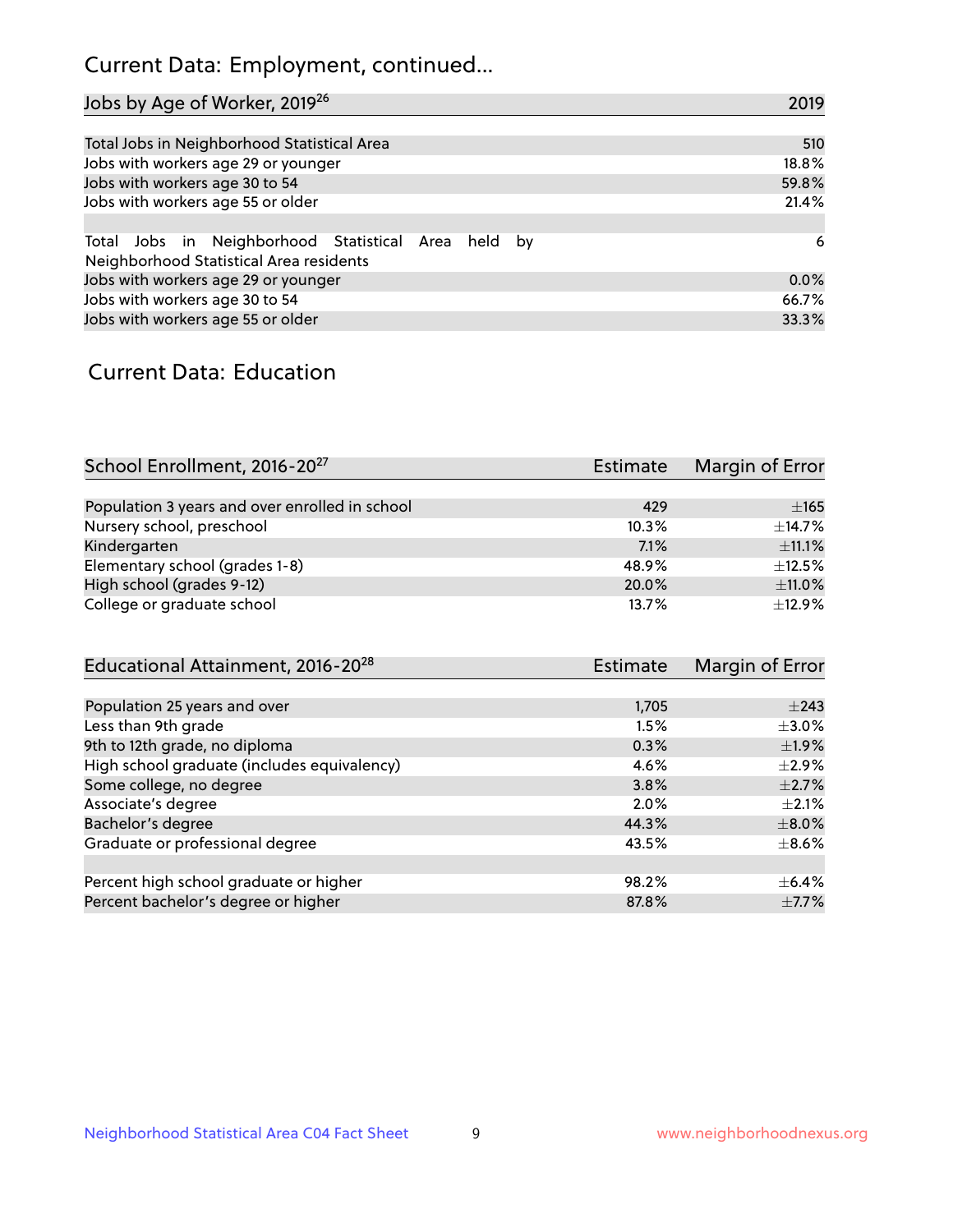# Current Data: Employment, continued...

| Jobs by Age of Worker, 2019 <sup>26</sup>                                                      | 2019  |
|------------------------------------------------------------------------------------------------|-------|
|                                                                                                |       |
| Total Jobs in Neighborhood Statistical Area                                                    | 510   |
| Jobs with workers age 29 or younger                                                            | 18.8% |
| Jobs with workers age 30 to 54                                                                 | 59.8% |
| Jobs with workers age 55 or older                                                              | 21.4% |
|                                                                                                |       |
| Total Jobs in Neighborhood Statistical Area held by<br>Neighborhood Statistical Area residents | 6     |
| Jobs with workers age 29 or younger                                                            | 0.0%  |
| Jobs with workers age 30 to 54                                                                 | 66.7% |
| Jobs with workers age 55 or older                                                              | 33.3% |

### Current Data: Education

| School Enrollment, 2016-20 <sup>27</sup>       | <b>Estimate</b> | Margin of Error |
|------------------------------------------------|-----------------|-----------------|
|                                                |                 |                 |
| Population 3 years and over enrolled in school | 429             | $\pm 165$       |
| Nursery school, preschool                      | 10.3%           | $\pm$ 14.7%     |
| Kindergarten                                   | 7.1%            | $\pm$ 11.1%     |
| Elementary school (grades 1-8)                 | 48.9%           | $\pm$ 12.5%     |
| High school (grades 9-12)                      | 20.0%           | $\pm$ 11.0%     |
| College or graduate school                     | 13.7%           | $\pm$ 12.9%     |

| Educational Attainment, 2016-20 <sup>28</sup> | <b>Estimate</b> | Margin of Error |
|-----------------------------------------------|-----------------|-----------------|
|                                               |                 |                 |
| Population 25 years and over                  | 1,705           | $\pm$ 243       |
| Less than 9th grade                           | 1.5%            | $\pm$ 3.0%      |
| 9th to 12th grade, no diploma                 | 0.3%            | $\pm$ 1.9%      |
| High school graduate (includes equivalency)   | 4.6%            | $\pm 2.9\%$     |
| Some college, no degree                       | 3.8%            | $\pm 2.7\%$     |
| Associate's degree                            | 2.0%            | $\pm 2.1\%$     |
| Bachelor's degree                             | 44.3%           | $\pm 8.0\%$     |
| Graduate or professional degree               | 43.5%           | $\pm$ 8.6%      |
|                                               |                 |                 |
| Percent high school graduate or higher        | 98.2%           | $\pm$ 6.4%      |
| Percent bachelor's degree or higher           | 87.8%           | $\pm$ 7.7%      |
|                                               |                 |                 |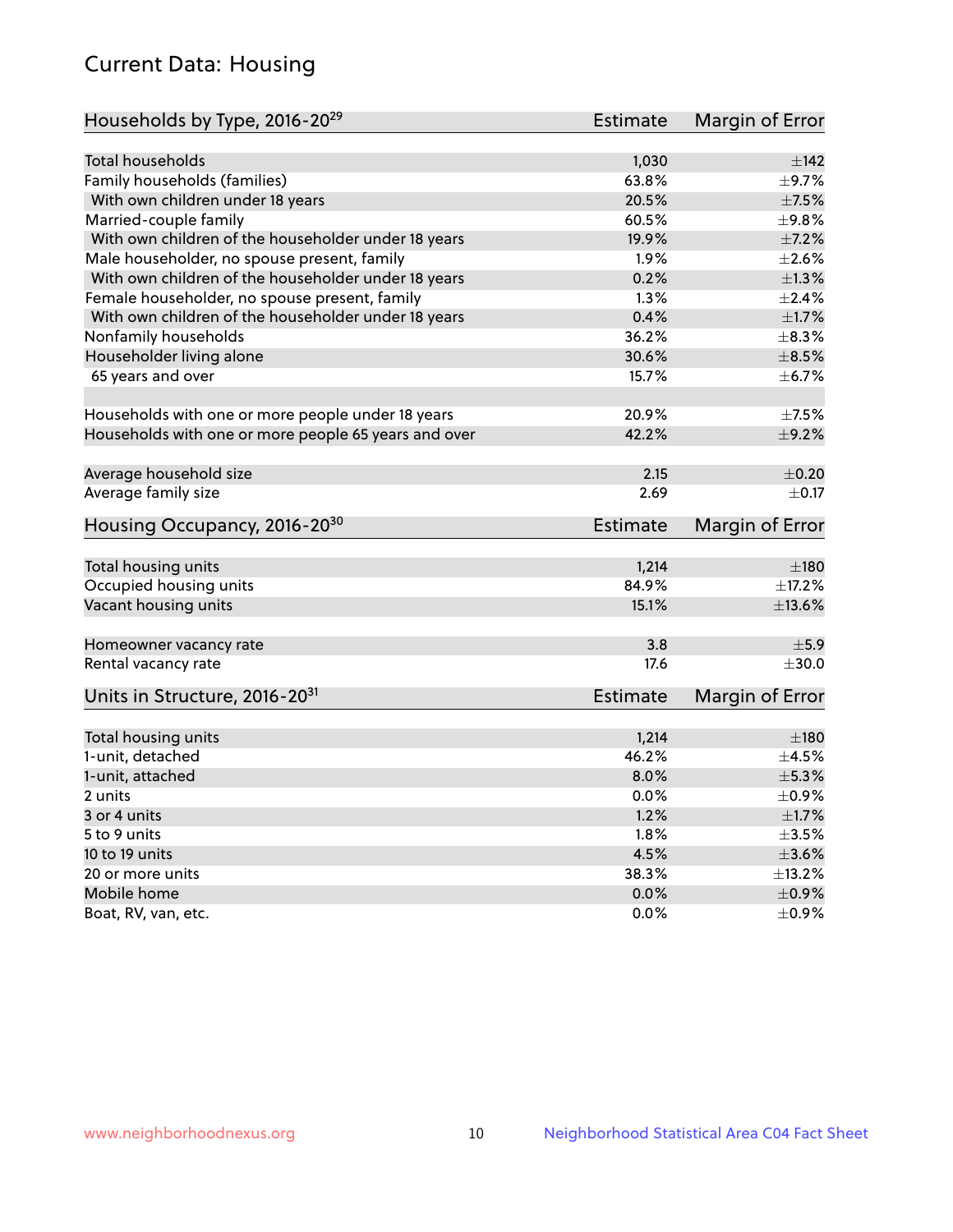# Current Data: Housing

| Households by Type, 2016-20 <sup>29</sup>            | <b>Estimate</b> | Margin of Error |
|------------------------------------------------------|-----------------|-----------------|
|                                                      |                 |                 |
| Total households                                     | 1,030           | $\pm$ 142       |
| Family households (families)                         | 63.8%           | $\pm$ 9.7%      |
| With own children under 18 years                     | 20.5%           | $\pm$ 7.5%      |
| Married-couple family                                | 60.5%           | ±9.8%           |
| With own children of the householder under 18 years  | 19.9%           | $\pm$ 7.2%      |
| Male householder, no spouse present, family          | 1.9%            | $\pm 2.6\%$     |
| With own children of the householder under 18 years  | 0.2%            | $\pm 1.3\%$     |
| Female householder, no spouse present, family        | 1.3%            | $\pm 2.4\%$     |
| With own children of the householder under 18 years  | 0.4%            | $\pm1.7\%$      |
| Nonfamily households                                 | 36.2%           | $\pm$ 8.3%      |
| Householder living alone                             | 30.6%           | $\pm$ 8.5%      |
| 65 years and over                                    | 15.7%           | $\pm$ 6.7%      |
|                                                      |                 |                 |
| Households with one or more people under 18 years    | 20.9%           | $\pm$ 7.5%      |
| Households with one or more people 65 years and over | 42.2%           | $\pm$ 9.2%      |
| Average household size                               | 2.15            | $\pm$ 0.20      |
| Average family size                                  | 2.69            | $\pm$ 0.17      |
| Housing Occupancy, 2016-20 <sup>30</sup>             | <b>Estimate</b> | Margin of Error |
|                                                      | 1,214           | ±180            |
| Total housing units                                  |                 |                 |
| Occupied housing units                               | 84.9%           | ±17.2%          |
| Vacant housing units                                 | 15.1%           | ±13.6%          |
| Homeowner vacancy rate                               | 3.8             | ±5.9            |
| Rental vacancy rate                                  | 17.6            | $\pm 30.0$      |
| Units in Structure, 2016-20 <sup>31</sup>            | Estimate        | Margin of Error |
| Total housing units                                  | 1,214           | $\pm 180$       |
| 1-unit, detached                                     | 46.2%           | $\pm 4.5\%$     |
| 1-unit, attached                                     | 8.0%            | $\pm$ 5.3%      |
| 2 units                                              | 0.0%            | $\pm$ 0.9%      |
|                                                      | 1.2%            | $\pm1.7\%$      |
| 3 or 4 units                                         |                 |                 |
| 5 to 9 units                                         | 1.8%            | $\pm 3.5\%$     |
| 10 to 19 units                                       | 4.5%            | $\pm 3.6\%$     |
| 20 or more units                                     | 38.3%           | ±13.2%          |
| Mobile home                                          | 0.0%            | $\pm$ 0.9%      |
| Boat, RV, van, etc.                                  | $0.0\%$         | $\pm$ 0.9%      |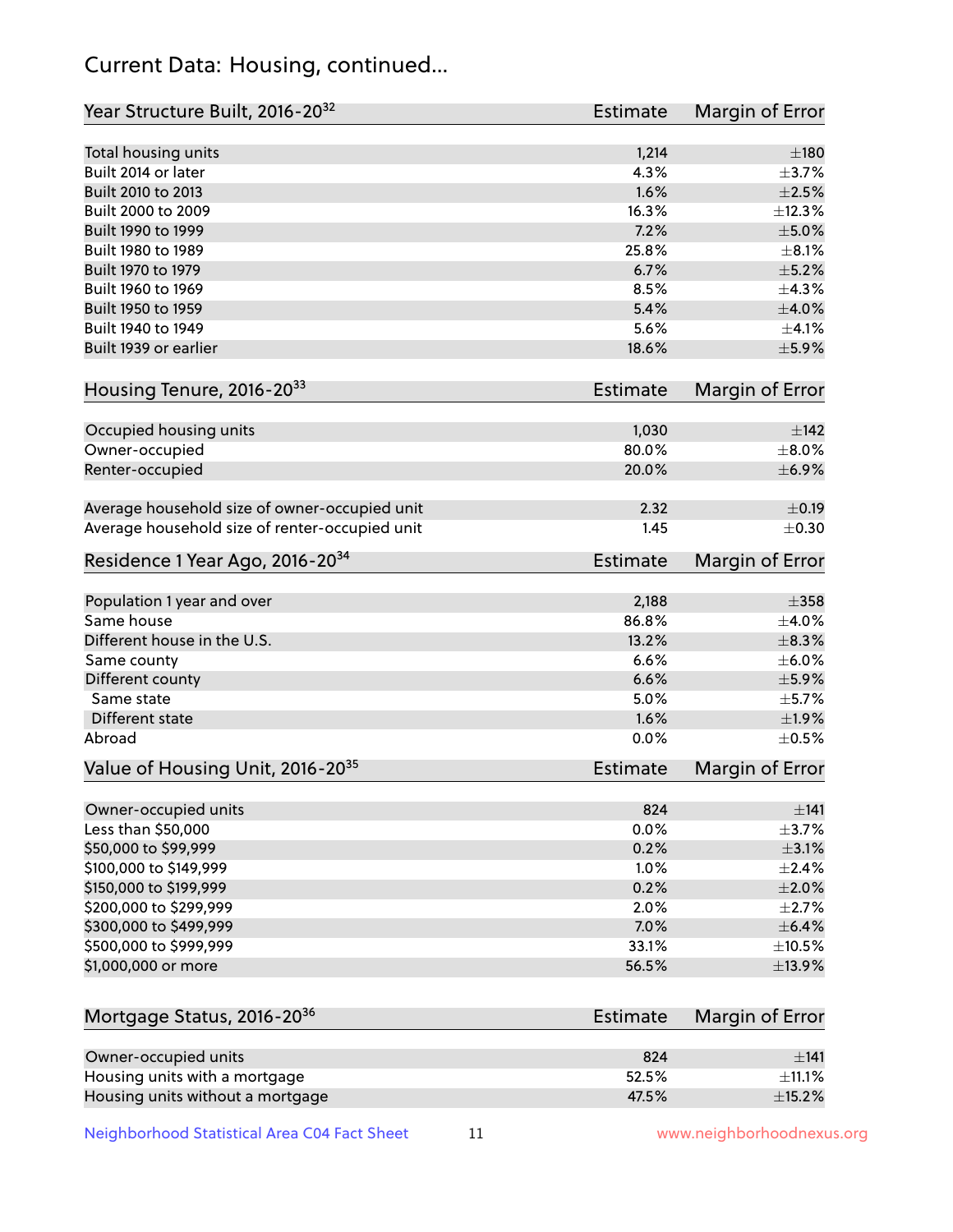# Current Data: Housing, continued...

| Year Structure Built, 2016-20 <sup>32</sup>    | <b>Estimate</b> | <b>Margin of Error</b> |
|------------------------------------------------|-----------------|------------------------|
| Total housing units                            | 1,214           | $\pm$ 180              |
| Built 2014 or later                            | 4.3%            | $\pm$ 3.7%             |
| Built 2010 to 2013                             | 1.6%            | $\pm 2.5\%$            |
| Built 2000 to 2009                             | 16.3%           | ±12.3%                 |
| Built 1990 to 1999                             | 7.2%            | $\pm$ 5.0%             |
| Built 1980 to 1989                             | 25.8%           | $\pm$ 8.1%             |
| Built 1970 to 1979                             | 6.7%            | $\pm$ 5.2%             |
| Built 1960 to 1969                             | 8.5%            | ±4.3%                  |
| Built 1950 to 1959                             | 5.4%            | $\pm 4.0\%$            |
| Built 1940 to 1949                             | 5.6%            | $\pm$ 4.1%             |
| Built 1939 or earlier                          | 18.6%           | $\pm$ 5.9%             |
| Housing Tenure, 2016-2033                      | <b>Estimate</b> | Margin of Error        |
| Occupied housing units                         | 1,030           | $\pm$ 142              |
| Owner-occupied                                 | 80.0%           | $\pm$ 8.0%             |
| Renter-occupied                                | 20.0%           | $\pm$ 6.9%             |
| Average household size of owner-occupied unit  | 2.32            | $\pm$ 0.19             |
| Average household size of renter-occupied unit | 1.45            | $\pm$ 0.30             |
| Residence 1 Year Ago, 2016-20 <sup>34</sup>    | <b>Estimate</b> | <b>Margin of Error</b> |
| Population 1 year and over                     | 2,188           | $\pm$ 358              |
| Same house                                     | 86.8%           | $\pm$ 4.0%             |
| Different house in the U.S.                    | 13.2%           | $\pm$ 8.3%             |
| Same county                                    | 6.6%            | $\pm$ 6.0%             |
| Different county                               | 6.6%            | $\pm$ 5.9%             |
| Same state                                     | 5.0%            | $\pm$ 5.7%             |
| Different state                                | 1.6%            | ±1.9%                  |
| Abroad                                         | 0.0%            | $\pm$ 0.5%             |
| Value of Housing Unit, 2016-20 <sup>35</sup>   | <b>Estimate</b> | Margin of Error        |
| Owner-occupied units                           | 824             | ±141                   |
| Less than \$50,000                             | 0.0%            | $\pm$ 3.7%             |
| \$50,000 to \$99,999                           | 0.2%            | $\pm$ 3.1%             |
| \$100,000 to \$149,999                         | 1.0%            | $\pm 2.4\%$            |
| \$150,000 to \$199,999                         | 0.2%            | $\pm 2.0\%$            |
| \$200,000 to \$299,999                         | 2.0%            | $\pm 2.7\%$            |
| \$300,000 to \$499,999                         | 7.0%            | $\pm$ 6.4%             |
| \$500,000 to \$999,999                         | 33.1%           | $\pm$ 10.5%            |
| \$1,000,000 or more                            | 56.5%           | ±13.9%                 |
| Mortgage Status, 2016-20 <sup>36</sup>         | <b>Estimate</b> | Margin of Error        |
| Owner-occupied units                           | 824             | ±141                   |
| Housing units with a mortgage                  | 52.5%           | $\pm$ 11.1%            |

Neighborhood Statistical Area C04 Fact Sheet 11 11 www.neighborhoodnexus.org

Housing units without a mortgage  $\pm 15.2\%$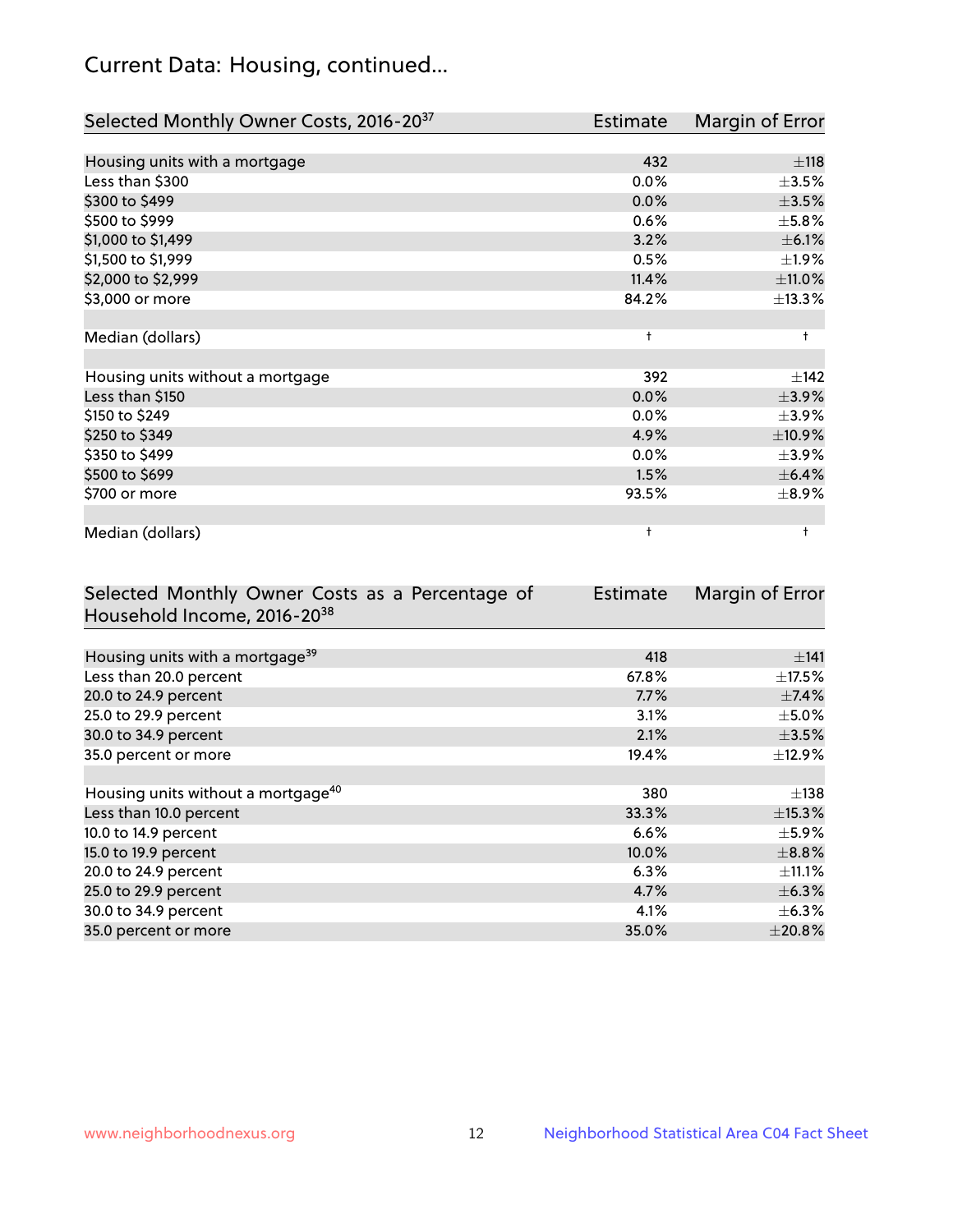# Current Data: Housing, continued...

| Selected Monthly Owner Costs, 2016-20 <sup>37</sup> | Estimate   | Margin of Error |
|-----------------------------------------------------|------------|-----------------|
|                                                     |            |                 |
| Housing units with a mortgage                       | 432        | ±118            |
| Less than \$300                                     | 0.0%       | $\pm$ 3.5%      |
| \$300 to \$499                                      | 0.0%       | $\pm 3.5\%$     |
| \$500 to \$999                                      | 0.6%       | $\pm$ 5.8%      |
| \$1,000 to \$1,499                                  | 3.2%       | $\pm$ 6.1%      |
| \$1,500 to \$1,999                                  | 0.5%       | ±1.9%           |
| \$2,000 to \$2,999                                  | 11.4%      | ±11.0%          |
| \$3,000 or more                                     | 84.2%      | ±13.3%          |
|                                                     |            |                 |
| Median (dollars)                                    | $\ddagger$ | $\ddagger$      |
|                                                     |            |                 |
| Housing units without a mortgage                    | 392        | ±142            |
| Less than \$150                                     | 0.0%       | $\pm$ 3.9%      |
| \$150 to \$249                                      | 0.0%       | $\pm$ 3.9%      |
| \$250 to \$349                                      | 4.9%       | $\pm$ 10.9%     |
| \$350 to \$499                                      | 0.0%       | $\pm$ 3.9%      |
| \$500 to \$699                                      | 1.5%       | $\pm$ 6.4%      |
| \$700 or more                                       | 93.5%      | $\pm$ 8.9%      |
|                                                     |            |                 |
| Median (dollars)                                    | $\ddagger$ | $\ddagger$      |

| Selected Monthly Owner Costs as a Percentage of | <b>Estimate</b> | Margin of Error |
|-------------------------------------------------|-----------------|-----------------|
| Household Income, 2016-20 <sup>38</sup>         |                 |                 |
|                                                 |                 |                 |
| Housing units with a mortgage <sup>39</sup>     | 418             | $\pm$ 141       |
| Less than 20.0 percent                          | 67.8%           | $\pm$ 17.5%     |
| 20.0 to 24.9 percent                            | 7.7%            | $\pm$ 7.4%      |
| 25.0 to 29.9 percent                            | 3.1%            | $\pm$ 5.0%      |
| 30.0 to 34.9 percent                            | 2.1%            | $\pm$ 3.5%      |
| 35.0 percent or more                            | 19.4%           | $\pm$ 12.9%     |
|                                                 |                 |                 |
| Housing units without a mortgage <sup>40</sup>  | 380             | $\pm$ 138       |
| Less than 10.0 percent                          | 33.3%           | $\pm$ 15.3%     |
| 10.0 to 14.9 percent                            | 6.6%            | $\pm$ 5.9%      |
| 15.0 to 19.9 percent                            | 10.0%           | $\pm$ 8.8%      |
| 20.0 to 24.9 percent                            | 6.3%            | $\pm$ 11.1%     |
| 25.0 to 29.9 percent                            | 4.7%            | $\pm$ 6.3%      |
| 30.0 to 34.9 percent                            | 4.1%            | $\pm$ 6.3%      |
| 35.0 percent or more                            | 35.0%           | $\pm 20.8\%$    |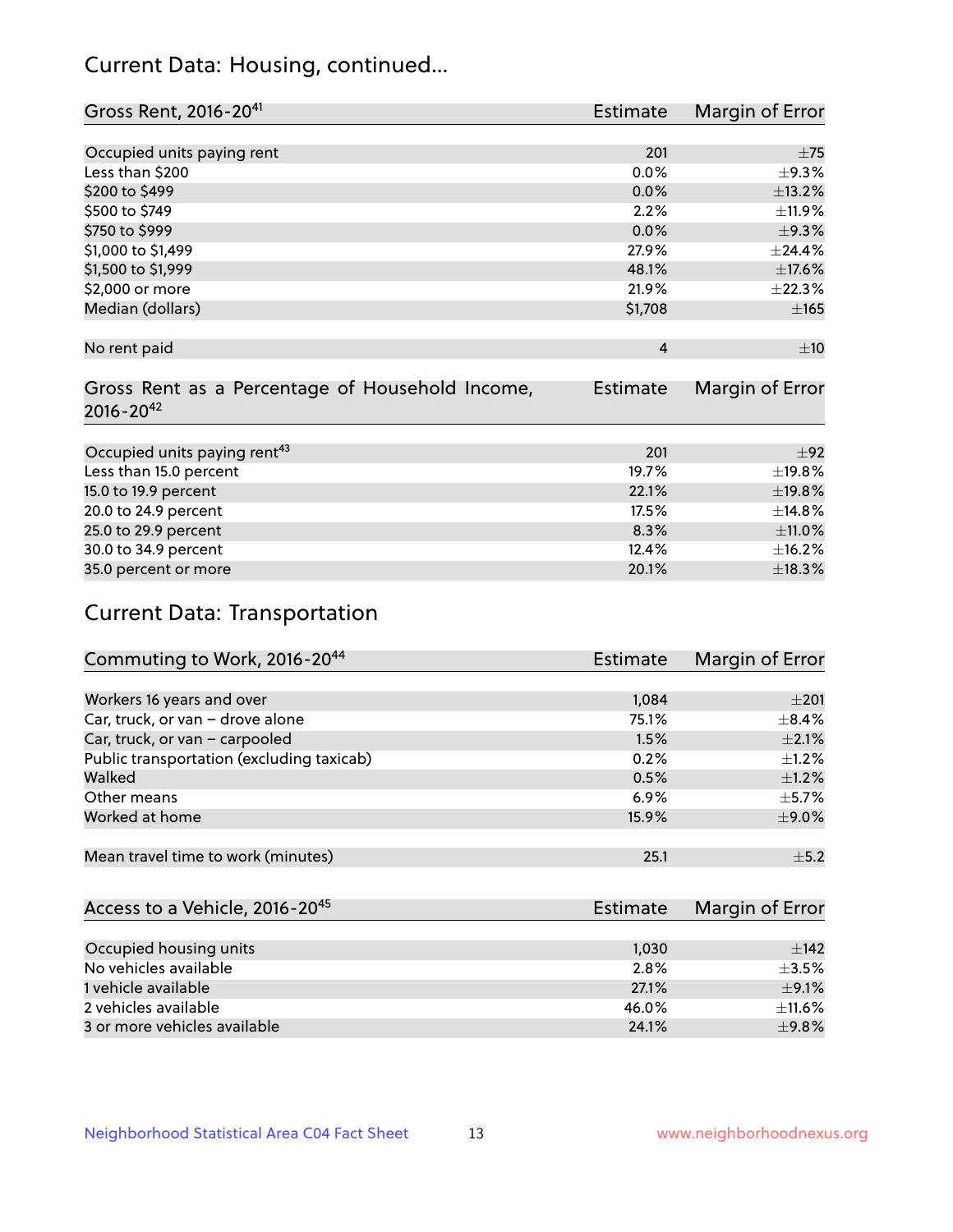# Current Data: Housing, continued...

| Gross Rent, 2016-20 <sup>41</sup>               | <b>Estimate</b> | Margin of Error |
|-------------------------------------------------|-----------------|-----------------|
|                                                 |                 |                 |
| Occupied units paying rent                      | 201             | $\pm$ 75        |
| Less than \$200                                 | 0.0%            | $\pm$ 9.3%      |
| \$200 to \$499                                  | 0.0%            | ±13.2%          |
| \$500 to \$749                                  | 2.2%            | ±11.9%          |
| \$750 to \$999                                  | 0.0%            | $\pm$ 9.3%      |
| \$1,000 to \$1,499                              | 27.9%           | ±24.4%          |
| \$1,500 to \$1,999                              | 48.1%           | ±17.6%          |
| \$2,000 or more                                 | 21.9%           | ±22.3%          |
| Median (dollars)                                | \$1,708         | $\pm 165$       |
|                                                 |                 |                 |
| No rent paid                                    | $\overline{4}$  | ±10             |
|                                                 |                 |                 |
| Gross Rent as a Percentage of Household Income, | <b>Estimate</b> | Margin of Error |
| $2016 - 20^{42}$                                |                 |                 |
|                                                 |                 |                 |
| Occupied units paying rent <sup>43</sup>        | 201             | $+92$           |
| Less than 15.0 percent                          | 19.7%           | ±19.8%          |
| 15.0 to 19.9 percent                            | 22.1%           | ±19.8%          |
| 20.0 to 24.9 percent                            | 17.5%           | ±14.8%          |
| 25.0 to 29.9 percent                            | 8.3%            | ±11.0%          |
| 30.0 to 34.9 percent                            | 12.4%           | ±16.2%          |
| 35.0 percent or more                            | 20.1%           | ±18.3%          |

# Current Data: Transportation

| Commuting to Work, 2016-20 <sup>44</sup>  | <b>Estimate</b> | Margin of Error |
|-------------------------------------------|-----------------|-----------------|
|                                           |                 |                 |
| Workers 16 years and over                 | 1,084           | $\pm 201$       |
| Car, truck, or van - drove alone          | 75.1%           | $\pm$ 8.4%      |
| Car, truck, or van - carpooled            | 1.5%            | $\pm 2.1\%$     |
| Public transportation (excluding taxicab) | 0.2%            | $+1.2%$         |
| Walked                                    | 0.5%            | $\pm 1.2\%$     |
| Other means                               | 6.9%            | $\pm$ 5.7%      |
| Worked at home                            | 15.9%           | $\pm$ 9.0%      |
|                                           |                 |                 |
| Mean travel time to work (minutes)        | 25.1            | $\pm$ 5.2       |

| Access to a Vehicle, 2016-20 <sup>45</sup> | Estimate | Margin of Error |
|--------------------------------------------|----------|-----------------|
|                                            |          |                 |
| Occupied housing units                     | 1,030    | ±142            |
| No vehicles available                      | 2.8%     | $+3.5%$         |
| 1 vehicle available                        | 27.1%    | $\pm$ 9.1%      |
| 2 vehicles available                       | 46.0%    | $\pm$ 11.6%     |
| 3 or more vehicles available               | 24.1%    | ±9.8%           |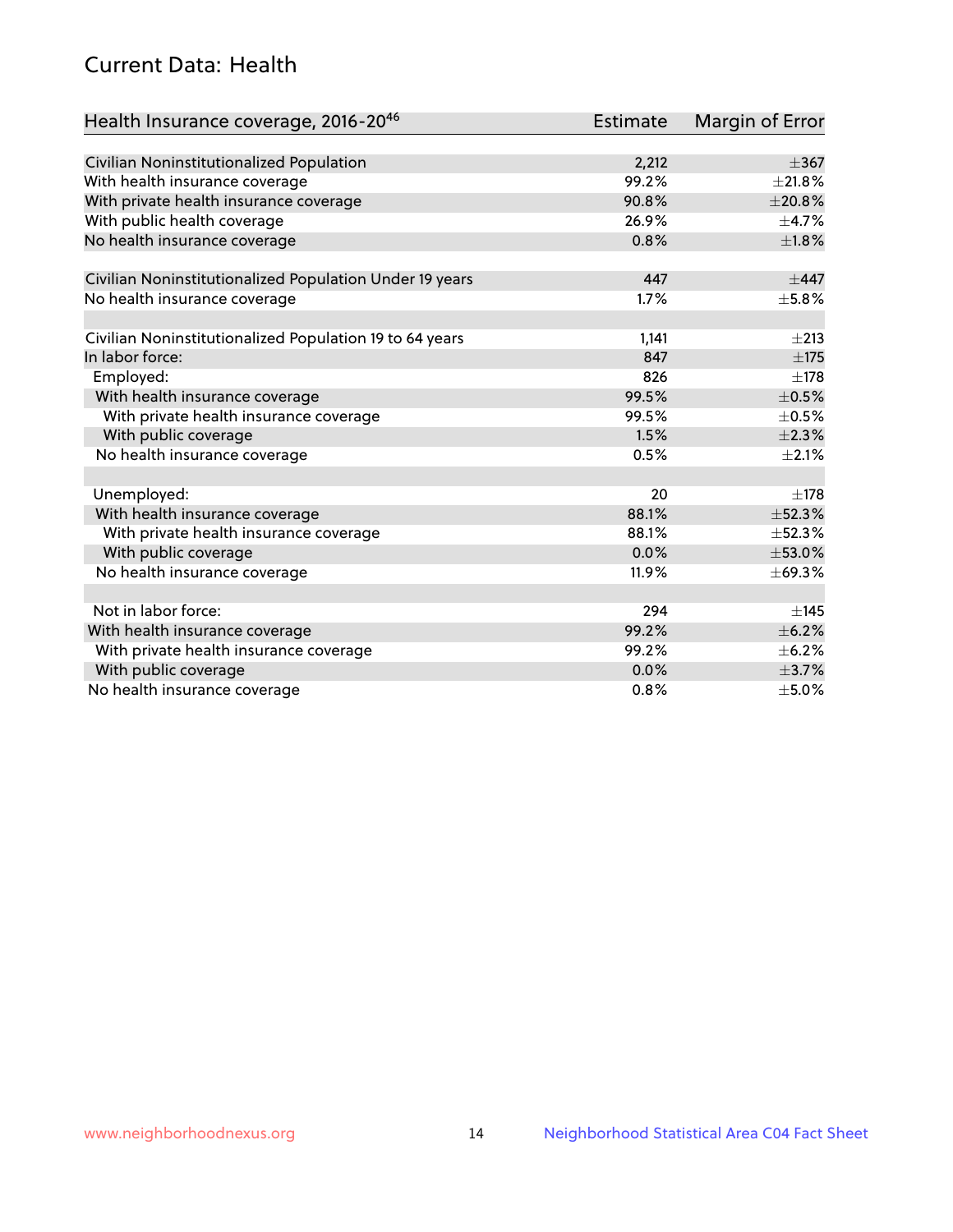# Current Data: Health

| Health Insurance coverage, 2016-2046                    | Estimate | Margin of Error |
|---------------------------------------------------------|----------|-----------------|
|                                                         |          |                 |
| Civilian Noninstitutionalized Population                | 2,212    | $\pm$ 367       |
| With health insurance coverage                          | 99.2%    | $\pm 21.8\%$    |
| With private health insurance coverage                  | 90.8%    | ±20.8%          |
| With public health coverage                             | 26.9%    | $\pm$ 4.7%      |
| No health insurance coverage                            | 0.8%     | $\pm1.8\%$      |
| Civilian Noninstitutionalized Population Under 19 years | 447      | $\pm$ 447       |
| No health insurance coverage                            | 1.7%     | $\pm$ 5.8%      |
|                                                         |          |                 |
| Civilian Noninstitutionalized Population 19 to 64 years | 1,141    | $\pm 213$       |
| In labor force:                                         | 847      | $\pm 175$       |
| Employed:                                               | 826      | $\pm$ 178       |
| With health insurance coverage                          | 99.5%    | $\pm$ 0.5%      |
| With private health insurance coverage                  | 99.5%    | $\pm$ 0.5%      |
| With public coverage                                    | 1.5%     | $\pm 2.3\%$     |
| No health insurance coverage                            | 0.5%     | $\pm 2.1\%$     |
|                                                         |          |                 |
| Unemployed:                                             | 20       | $\pm$ 178       |
| With health insurance coverage                          | 88.1%    | ±52.3%          |
| With private health insurance coverage                  | 88.1%    | ±52.3%          |
| With public coverage                                    | 0.0%     | ±53.0%          |
| No health insurance coverage                            | 11.9%    | ±69.3%          |
|                                                         |          |                 |
| Not in labor force:                                     | 294      | $\pm$ 145       |
| With health insurance coverage                          | 99.2%    | $\pm$ 6.2%      |
| With private health insurance coverage                  | 99.2%    | $\pm$ 6.2%      |
| With public coverage                                    | 0.0%     | $\pm$ 3.7%      |
| No health insurance coverage                            | 0.8%     | $\pm$ 5.0%      |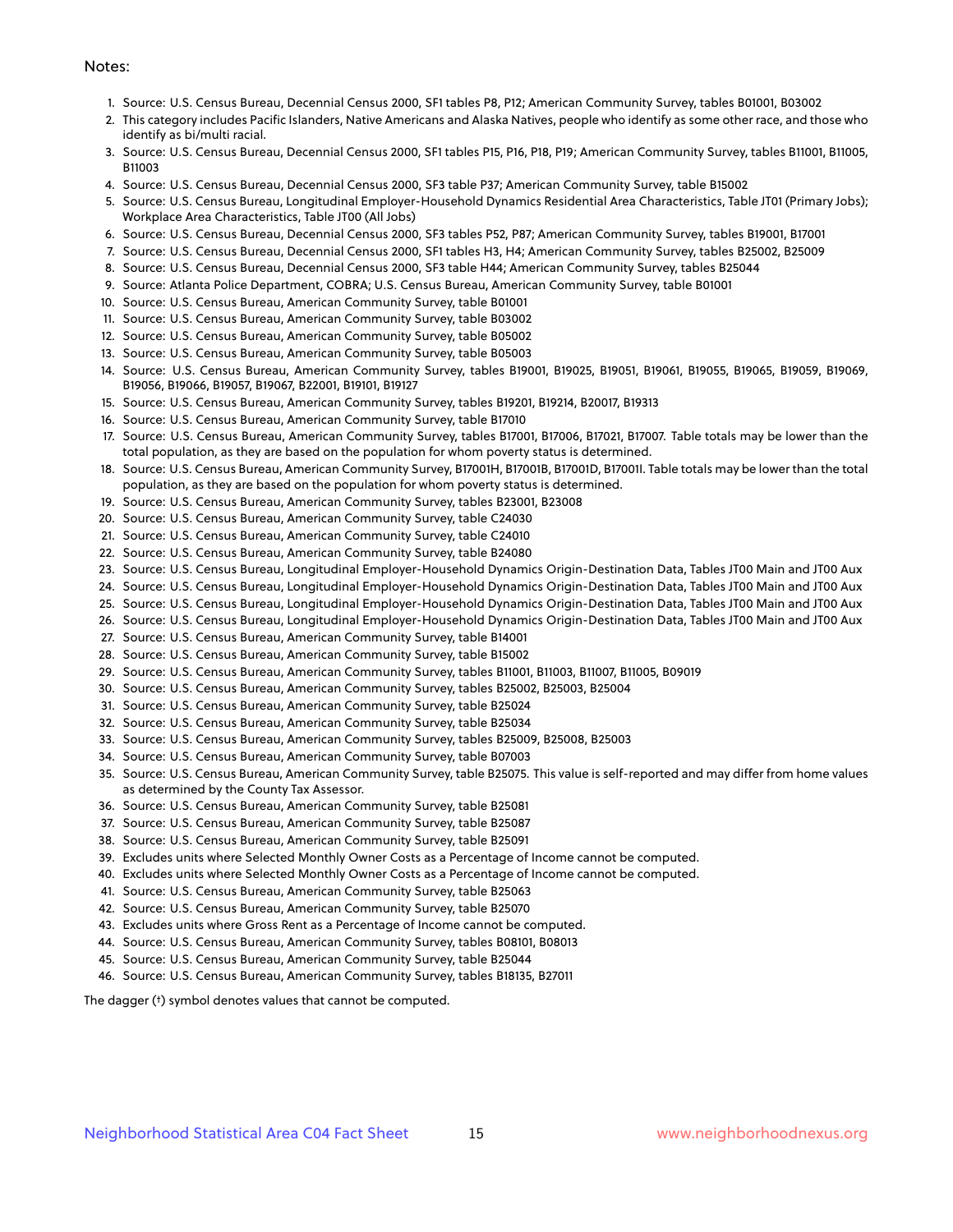#### Notes:

- 1. Source: U.S. Census Bureau, Decennial Census 2000, SF1 tables P8, P12; American Community Survey, tables B01001, B03002
- 2. This category includes Pacific Islanders, Native Americans and Alaska Natives, people who identify as some other race, and those who identify as bi/multi racial.
- 3. Source: U.S. Census Bureau, Decennial Census 2000, SF1 tables P15, P16, P18, P19; American Community Survey, tables B11001, B11005, B11003
- 4. Source: U.S. Census Bureau, Decennial Census 2000, SF3 table P37; American Community Survey, table B15002
- 5. Source: U.S. Census Bureau, Longitudinal Employer-Household Dynamics Residential Area Characteristics, Table JT01 (Primary Jobs); Workplace Area Characteristics, Table JT00 (All Jobs)
- 6. Source: U.S. Census Bureau, Decennial Census 2000, SF3 tables P52, P87; American Community Survey, tables B19001, B17001
- 7. Source: U.S. Census Bureau, Decennial Census 2000, SF1 tables H3, H4; American Community Survey, tables B25002, B25009
- 8. Source: U.S. Census Bureau, Decennial Census 2000, SF3 table H44; American Community Survey, tables B25044
- 9. Source: Atlanta Police Department, COBRA; U.S. Census Bureau, American Community Survey, table B01001
- 10. Source: U.S. Census Bureau, American Community Survey, table B01001
- 11. Source: U.S. Census Bureau, American Community Survey, table B03002
- 12. Source: U.S. Census Bureau, American Community Survey, table B05002
- 13. Source: U.S. Census Bureau, American Community Survey, table B05003
- 14. Source: U.S. Census Bureau, American Community Survey, tables B19001, B19025, B19051, B19061, B19055, B19065, B19059, B19069, B19056, B19066, B19057, B19067, B22001, B19101, B19127
- 15. Source: U.S. Census Bureau, American Community Survey, tables B19201, B19214, B20017, B19313
- 16. Source: U.S. Census Bureau, American Community Survey, table B17010
- 17. Source: U.S. Census Bureau, American Community Survey, tables B17001, B17006, B17021, B17007. Table totals may be lower than the total population, as they are based on the population for whom poverty status is determined.
- 18. Source: U.S. Census Bureau, American Community Survey, B17001H, B17001B, B17001D, B17001I. Table totals may be lower than the total population, as they are based on the population for whom poverty status is determined.
- 19. Source: U.S. Census Bureau, American Community Survey, tables B23001, B23008
- 20. Source: U.S. Census Bureau, American Community Survey, table C24030
- 21. Source: U.S. Census Bureau, American Community Survey, table C24010
- 22. Source: U.S. Census Bureau, American Community Survey, table B24080
- 23. Source: U.S. Census Bureau, Longitudinal Employer-Household Dynamics Origin-Destination Data, Tables JT00 Main and JT00 Aux
- 24. Source: U.S. Census Bureau, Longitudinal Employer-Household Dynamics Origin-Destination Data, Tables JT00 Main and JT00 Aux
- 25. Source: U.S. Census Bureau, Longitudinal Employer-Household Dynamics Origin-Destination Data, Tables JT00 Main and JT00 Aux
- 26. Source: U.S. Census Bureau, Longitudinal Employer-Household Dynamics Origin-Destination Data, Tables JT00 Main and JT00 Aux
- 27. Source: U.S. Census Bureau, American Community Survey, table B14001
- 28. Source: U.S. Census Bureau, American Community Survey, table B15002
- 29. Source: U.S. Census Bureau, American Community Survey, tables B11001, B11003, B11007, B11005, B09019
- 30. Source: U.S. Census Bureau, American Community Survey, tables B25002, B25003, B25004
- 31. Source: U.S. Census Bureau, American Community Survey, table B25024
- 32. Source: U.S. Census Bureau, American Community Survey, table B25034
- 33. Source: U.S. Census Bureau, American Community Survey, tables B25009, B25008, B25003
- 34. Source: U.S. Census Bureau, American Community Survey, table B07003
- 35. Source: U.S. Census Bureau, American Community Survey, table B25075. This value is self-reported and may differ from home values as determined by the County Tax Assessor.
- 36. Source: U.S. Census Bureau, American Community Survey, table B25081
- 37. Source: U.S. Census Bureau, American Community Survey, table B25087
- 38. Source: U.S. Census Bureau, American Community Survey, table B25091
- 39. Excludes units where Selected Monthly Owner Costs as a Percentage of Income cannot be computed.
- 40. Excludes units where Selected Monthly Owner Costs as a Percentage of Income cannot be computed.
- 41. Source: U.S. Census Bureau, American Community Survey, table B25063
- 42. Source: U.S. Census Bureau, American Community Survey, table B25070
- 43. Excludes units where Gross Rent as a Percentage of Income cannot be computed.
- 44. Source: U.S. Census Bureau, American Community Survey, tables B08101, B08013
- 45. Source: U.S. Census Bureau, American Community Survey, table B25044
- 46. Source: U.S. Census Bureau, American Community Survey, tables B18135, B27011

The dagger (†) symbol denotes values that cannot be computed.